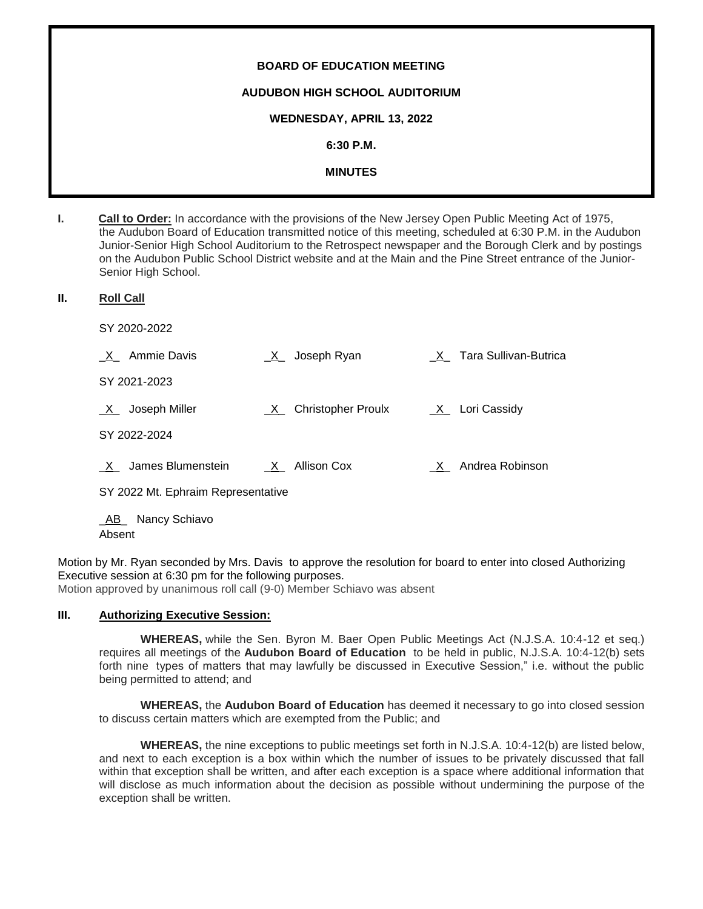# **BOARD OF EDUCATION MEETING AUDUBON HIGH SCHOOL AUDITORIUM WEDNESDAY, APRIL 13, 2022 6:30 P.M. MINUTES**

**I. Call to Order:** In accordance with the provisions of the New Jersey Open Public Meeting Act of 1975, the Audubon Board of Education transmitted notice of this meeting, scheduled at 6:30 P.M. in the Audubon Junior-Senior High School Auditorium to the Retrospect newspaper and the Borough Clerk and by postings on the Audubon Public School District website and at the Main and the Pine Street entrance of the Junior-Senior High School.

## **II. Roll Call**

SY 2020-2022

| $X_$ Ammie Davis                   | _X_ Joseph Ryan        | X Tara Sullivan-Butrica |
|------------------------------------|------------------------|-------------------------|
| SY 2021-2023                       |                        |                         |
| $X_$ Joseph Miller                 | _X_ Christopher Proulx | $X_$ Lori Cassidy       |
| SY 2022-2024                       |                        |                         |
| X James Blumenstein                | $X_$ Allison Cox       | X Andrea Robinson       |
| SY 2022 Mt. Ephraim Representative |                        |                         |

\_AB\_ Nancy Schiavo Absent

Motion by Mr. Ryan seconded by Mrs. Davis to approve the resolution for board to enter into closed Authorizing Executive session at 6:30 pm for the following purposes.

Motion approved by unanimous roll call (9-0) Member Schiavo was absent

## **III. Authorizing Executive Session:**

**WHEREAS,** while the Sen. Byron M. Baer Open Public Meetings Act (N.J.S.A. 10:4-12 et seq.) requires all meetings of the **Audubon Board of Education** to be held in public, N.J.S.A. 10:4-12(b) sets forth nine types of matters that may lawfully be discussed in Executive Session," i.e. without the public being permitted to attend; and

**WHEREAS,** the **Audubon Board of Education** has deemed it necessary to go into closed session to discuss certain matters which are exempted from the Public; and

**WHEREAS,** the nine exceptions to public meetings set forth in N.J.S.A. 10:4-12(b) are listed below, and next to each exception is a box within which the number of issues to be privately discussed that fall within that exception shall be written, and after each exception is a space where additional information that will disclose as much information about the decision as possible without undermining the purpose of the exception shall be written.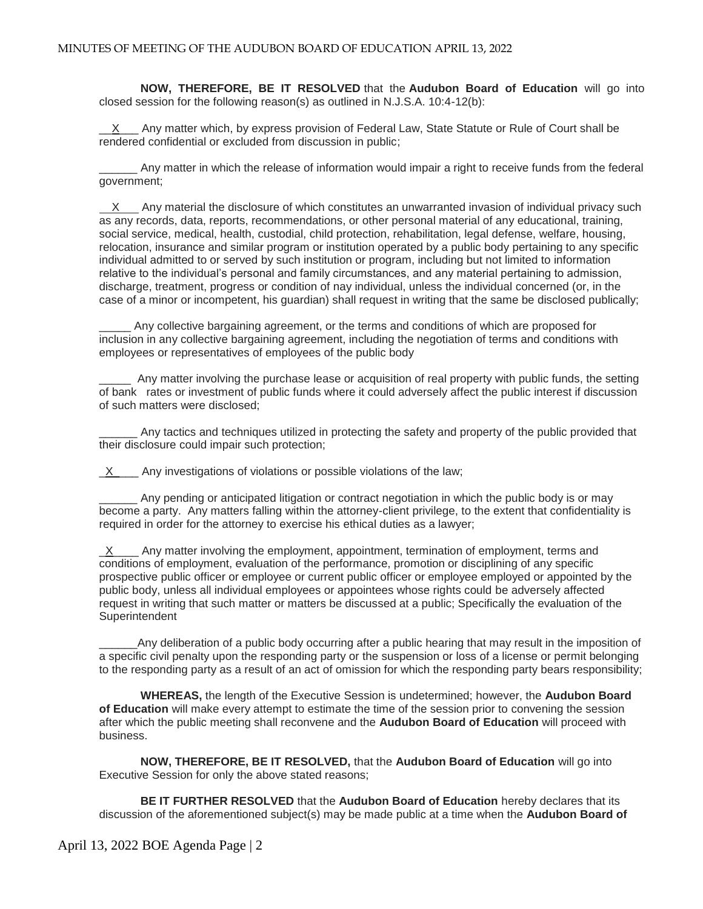**NOW, THEREFORE, BE IT RESOLVED** that the **Audubon Board of Education** will go into closed session for the following reason(s) as outlined in N.J.S.A. 10:4-12(b):

 $X$  Any matter which, by express provision of Federal Law, State Statute or Rule of Court shall be rendered confidential or excluded from discussion in public;

\_\_\_\_\_\_ Any matter in which the release of information would impair a right to receive funds from the federal government;

X Any material the disclosure of which constitutes an unwarranted invasion of individual privacy such as any records, data, reports, recommendations, or other personal material of any educational, training, social service, medical, health, custodial, child protection, rehabilitation, legal defense, welfare, housing, relocation, insurance and similar program or institution operated by a public body pertaining to any specific individual admitted to or served by such institution or program, including but not limited to information relative to the individual's personal and family circumstances, and any material pertaining to admission, discharge, treatment, progress or condition of nay individual, unless the individual concerned (or, in the case of a minor or incompetent, his guardian) shall request in writing that the same be disclosed publically;

Any collective bargaining agreement, or the terms and conditions of which are proposed for inclusion in any collective bargaining agreement, including the negotiation of terms and conditions with employees or representatives of employees of the public body

Any matter involving the purchase lease or acquisition of real property with public funds, the setting of bank rates or investment of public funds where it could adversely affect the public interest if discussion of such matters were disclosed;

Any tactics and techniques utilized in protecting the safety and property of the public provided that their disclosure could impair such protection;

 $X$  Any investigations of violations or possible violations of the law;

Any pending or anticipated litigation or contract negotiation in which the public body is or may become a party. Any matters falling within the attorney-client privilege, to the extent that confidentiality is required in order for the attorney to exercise his ethical duties as a lawyer;

 $X$  Any matter involving the employment, appointment, termination of employment, terms and conditions of employment, evaluation of the performance, promotion or disciplining of any specific prospective public officer or employee or current public officer or employee employed or appointed by the public body, unless all individual employees or appointees whose rights could be adversely affected request in writing that such matter or matters be discussed at a public; Specifically the evaluation of the **Superintendent** 

\_\_\_\_\_\_Any deliberation of a public body occurring after a public hearing that may result in the imposition of a specific civil penalty upon the responding party or the suspension or loss of a license or permit belonging to the responding party as a result of an act of omission for which the responding party bears responsibility;

**WHEREAS,** the length of the Executive Session is undetermined; however, the **Audubon Board of Education** will make every attempt to estimate the time of the session prior to convening the session after which the public meeting shall reconvene and the **Audubon Board of Education** will proceed with business.

**NOW, THEREFORE, BE IT RESOLVED,** that the **Audubon Board of Education** will go into Executive Session for only the above stated reasons;

**BE IT FURTHER RESOLVED** that the **Audubon Board of Education** hereby declares that its discussion of the aforementioned subject(s) may be made public at a time when the **Audubon Board of**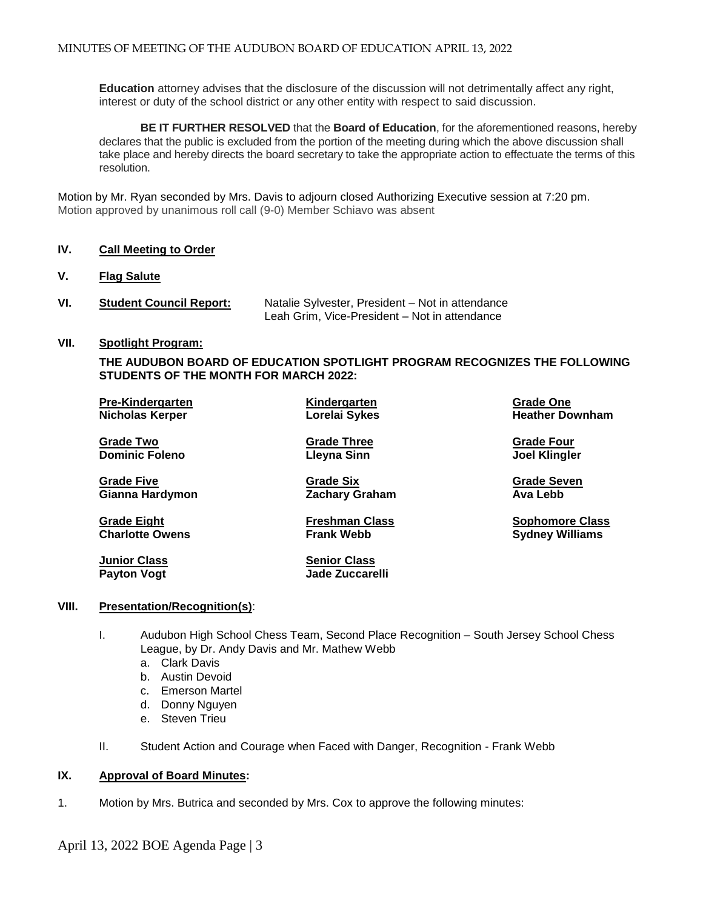**Education** attorney advises that the disclosure of the discussion will not detrimentally affect any right, interest or duty of the school district or any other entity with respect to said discussion.

**BE IT FURTHER RESOLVED** that the **Board of Education**, for the aforementioned reasons, hereby declares that the public is excluded from the portion of the meeting during which the above discussion shall take place and hereby directs the board secretary to take the appropriate action to effectuate the terms of this resolution.

Motion by Mr. Ryan seconded by Mrs. Davis to adjourn closed Authorizing Executive session at 7:20 pm. Motion approved by unanimous roll call (9-0) Member Schiavo was absent

## **IV. Call Meeting to Order**

- **V. Flag Salute**
- **VI. Student Council Report:** Natalie Sylvester, President Not in attendance Leah Grim, Vice-President – Not in attendance

#### **VII. Spotlight Program:**

**THE AUDUBON BOARD OF EDUCATION SPOTLIGHT PROGRAM RECOGNIZES THE FOLLOWING STUDENTS OF THE MONTH FOR MARCH 2022:**

| <b>Pre-Kindergarten</b> | Kindergarten       | Grade One              |  |
|-------------------------|--------------------|------------------------|--|
| <b>Nicholas Kerper</b>  | Lorelai Sykes      | <b>Heather Downham</b> |  |
| <b>Grade Two</b>        | <b>Grade Three</b> | <b>Grade Four</b>      |  |
| <b>Dominic Foleno</b>   | Lleyna Sinn        | <b>Joel Klingler</b>   |  |
| <b>Grade Five</b>       | <b>Grade Six</b>   | <b>Grade Seven</b>     |  |

**Gianna Hardymon Zachary Graham Ava Lebb**

**Charlotte Owens Frank Webb Sydney Williams**

**Grade Eight Freshman Class Sophomore Class**

**Junior Class Senior Class Payton Vogt Jade Zuccarelli**

## **VIII. Presentation/Recognition(s)**:

- I. Audubon High School Chess Team, Second Place Recognition South Jersey School Chess League, by Dr. Andy Davis and Mr. Mathew Webb
	- a. Clark Davis
	- b. Austin Devoid
	- c. Emerson Martel
	- d. Donny Nguyen
	- e. Steven Trieu
- II. Student Action and Courage when Faced with Danger, Recognition Frank Webb

## **IX. Approval of Board Minutes:**

1. Motion by Mrs. Butrica and seconded by Mrs. Cox to approve the following minutes: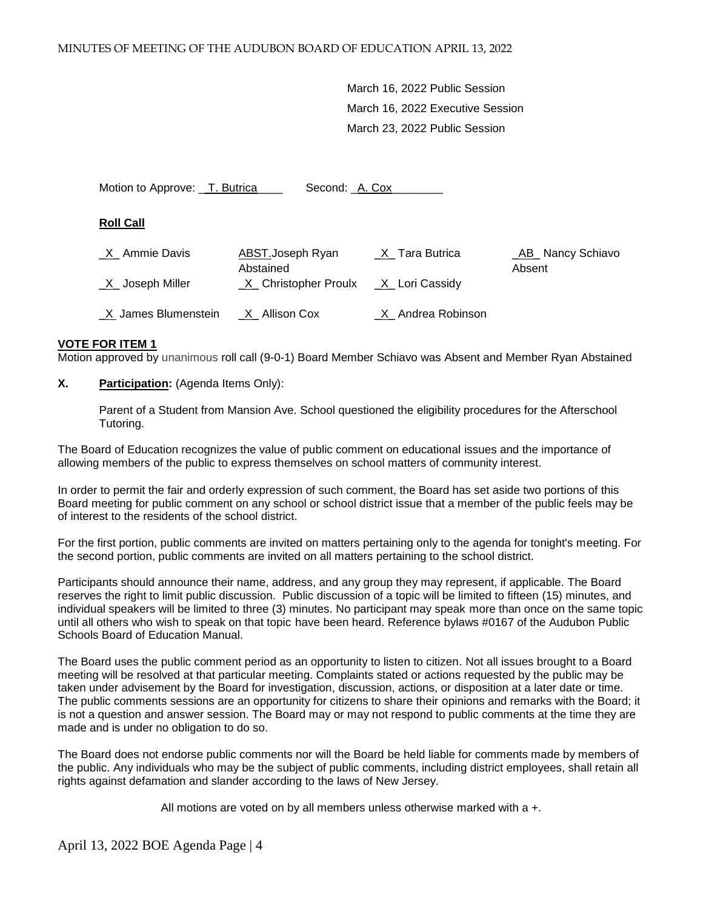March 16, 2022 Public Session March 16, 2022 Executive Session March 23, 2022 Public Session

Motion to Approve: \_T. Butrica\_\_\_\_\_ Second: \_A. Cox\_\_\_\_\_

**Roll Call**

| <u>X</u> Ammie Davis | ABST.Joseph Ryan<br>Abstained | X Tara Butrica        | <b>AB</b> Nancy Schiavo<br>Absent |
|----------------------|-------------------------------|-----------------------|-----------------------------------|
| X Joseph Miller      | X Christopher Proulx          | <u>X</u> Lori Cassidy |                                   |
| X James Blumenstein  | X Allison Cox                 | X Andrea Robinson     |                                   |

#### **VOTE FOR ITEM 1**

Motion approved by unanimous roll call (9-0-1) Board Member Schiavo was Absent and Member Ryan Abstained

**X. Participation:** (Agenda Items Only):

Parent of a Student from Mansion Ave. School questioned the eligibility procedures for the Afterschool Tutoring.

The Board of Education recognizes the value of public comment on educational issues and the importance of allowing members of the public to express themselves on school matters of community interest.

In order to permit the fair and orderly expression of such comment, the Board has set aside two portions of this Board meeting for public comment on any school or school district issue that a member of the public feels may be of interest to the residents of the school district.

For the first portion, public comments are invited on matters pertaining only to the agenda for tonight's meeting. For the second portion, public comments are invited on all matters pertaining to the school district.

Participants should announce their name, address, and any group they may represent, if applicable. The Board reserves the right to limit public discussion. Public discussion of a topic will be limited to fifteen (15) minutes, and individual speakers will be limited to three (3) minutes. No participant may speak more than once on the same topic until all others who wish to speak on that topic have been heard. Reference bylaws #0167 of the Audubon Public Schools Board of Education Manual.

The Board uses the public comment period as an opportunity to listen to citizen. Not all issues brought to a Board meeting will be resolved at that particular meeting. Complaints stated or actions requested by the public may be taken under advisement by the Board for investigation, discussion, actions, or disposition at a later date or time. The public comments sessions are an opportunity for citizens to share their opinions and remarks with the Board; it is not a question and answer session. The Board may or may not respond to public comments at the time they are made and is under no obligation to do so.

The Board does not endorse public comments nor will the Board be held liable for comments made by members of the public. Any individuals who may be the subject of public comments, including district employees, shall retain all rights against defamation and slander according to the laws of New Jersey.

All motions are voted on by all members unless otherwise marked with a +.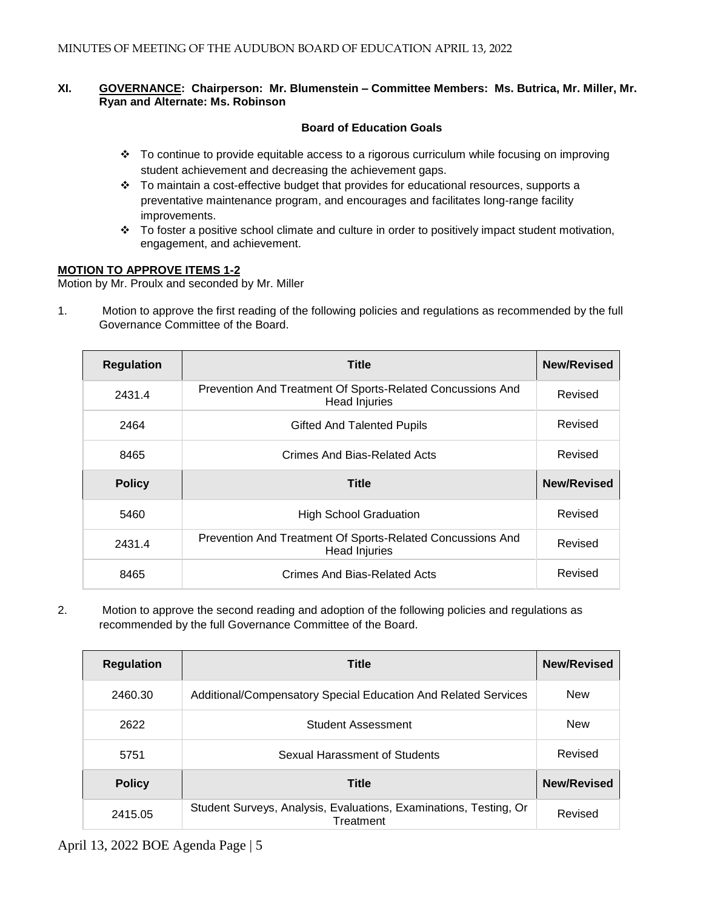## **XI. GOVERNANCE: Chairperson: Mr. Blumenstein – Committee Members: Ms. Butrica, Mr. Miller, Mr. Ryan and Alternate: Ms. Robinson**

## **Board of Education Goals**

- To continue to provide equitable access to a rigorous curriculum while focusing on improving student achievement and decreasing the achievement gaps.
- $\cdot \cdot$  To maintain a cost-effective budget that provides for educational resources, supports a preventative maintenance program, and encourages and facilitates long-range facility improvements.
- To foster a positive school climate and culture in order to positively impact student motivation, engagement, and achievement.

## **MOTION TO APPROVE ITEMS 1-2**

Motion by Mr. Proulx and seconded by Mr. Miller

1. Motion to approve the first reading of the following policies and regulations as recommended by the full Governance Committee of the Board.

| <b>Regulation</b> | <b>Title</b>                                                                       | <b>New/Revised</b> |
|-------------------|------------------------------------------------------------------------------------|--------------------|
| 2431.4            | Prevention And Treatment Of Sports-Related Concussions And<br><b>Head Injuries</b> | Revised            |
| 2464              | <b>Gifted And Talented Pupils</b>                                                  | Revised            |
| 8465              | Crimes And Bias-Related Acts                                                       | Revised            |
| <b>Policy</b>     | <b>Title</b>                                                                       | <b>New/Revised</b> |
| 5460              | <b>High School Graduation</b>                                                      | Revised            |
| 2431.4            | Prevention And Treatment Of Sports-Related Concussions And<br><b>Head Injuries</b> | Revised            |
| 8465              | Crimes And Bias-Related Acts                                                       | Revised            |

2. Motion to approve the second reading and adoption of the following policies and regulations as recommended by the full Governance Committee of the Board.

| Regulation    | <b>Title</b>                                                                   | <b>New/Revised</b> |
|---------------|--------------------------------------------------------------------------------|--------------------|
| 2460.30       | Additional/Compensatory Special Education And Related Services                 | <b>New</b>         |
| 2622          | <b>Student Assessment</b>                                                      | <b>New</b>         |
| 5751          | Sexual Harassment of Students                                                  | Revised            |
| <b>Policy</b> | <b>Title</b>                                                                   | <b>New/Revised</b> |
| 2415.05       | Student Surveys, Analysis, Evaluations, Examinations, Testing, Or<br>Treatment | Revised            |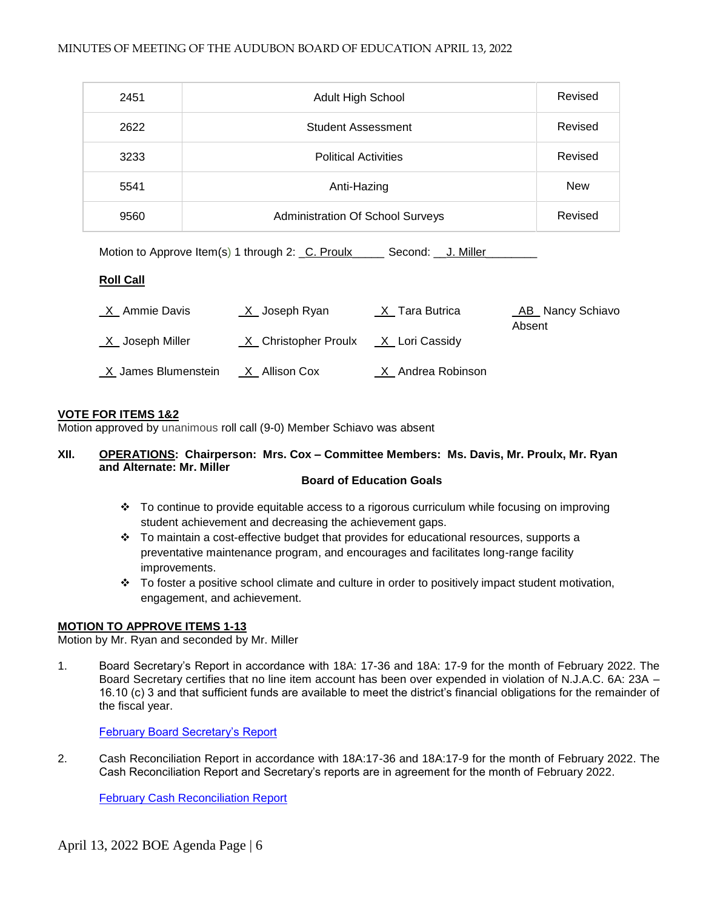| 2451 | Adult High School                       | Revised    |
|------|-----------------------------------------|------------|
| 2622 | Student Assessment                      | Revised    |
| 3233 | <b>Political Activities</b>             | Revised    |
| 5541 | Anti-Hazing                             | <b>New</b> |
| 9560 | <b>Administration Of School Surveys</b> | Revised    |

Motion to Approve Item(s) 1 through 2: \_C. Proulx\_\_\_\_\_\_\_ Second: \_\_J. Miller\_

## **Roll Call**

| X Ammie Davis          | $X$ Joseph Ryan        | $X$ <sub>_</sub> Tara Butrica | _AB_ Nancy Schiavo<br>Absent |
|------------------------|------------------------|-------------------------------|------------------------------|
| <u>X</u> Joseph Miller | _X_ Christopher Proulx | _X_ Lori Cassidy              |                              |
| _X James Blumenstein   | $X$ Allison Cox        | X Andrea Robinson             |                              |

## **VOTE FOR ITEMS 1&2**

Motion approved by unanimous roll call (9-0) Member Schiavo was absent

# **XII. OPERATIONS: Chairperson: Mrs. Cox – Committee Members: Ms. Davis, Mr. Proulx, Mr. Ryan and Alternate: Mr. Miller**

## **Board of Education Goals**

- To continue to provide equitable access to a rigorous curriculum while focusing on improving student achievement and decreasing the achievement gaps.
- $\div$  To maintain a cost-effective budget that provides for educational resources, supports a preventative maintenance program, and encourages and facilitates long-range facility improvements.
- $\cdot \cdot$  To foster a positive school climate and culture in order to positively impact student motivation, engagement, and achievement.

## **MOTION TO APPROVE ITEMS 1-13**

Motion by Mr. Ryan and seconded by Mr. Miller

1. Board Secretary's Report in accordance with 18A: 17-36 and 18A: 17-9 for the month of February 2022. The Board Secretary certifies that no line item account has been over expended in violation of N.J.A.C. 6A: 23A – 16.10 (c) 3 and that sufficient funds are available to meet the district's financial obligations for the remainder of the fiscal year.

[February Board Secretary's Report](https://docs.google.com/a/audubonschools.org/viewer?a=v&pid=sites&srcid=YXVkdWJvbnNjaG9vbHMub3JnfGJvYXJkLWFnZW5kYXxneDo3NmFmMTgwYzkyNmVhYjlm)

2. Cash Reconciliation Report in accordance with 18A:17-36 and 18A:17-9 for the month of February 2022. The Cash Reconciliation Report and Secretary's reports are in agreement for the month of February 2022.

[February Cash Reconciliation Report](https://docs.google.com/a/audubonschools.org/viewer?a=v&pid=sites&srcid=YXVkdWJvbnNjaG9vbHMub3JnfGJvYXJkLWFnZW5kYXxneDo3NjRiMjNmZmYwNDliMjUx)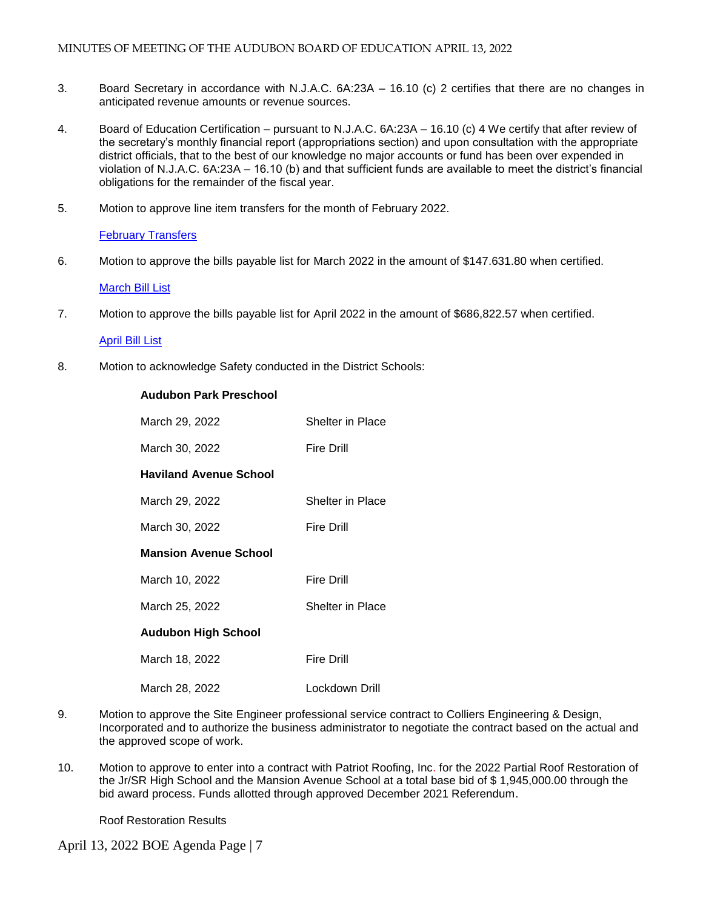- 3.Board Secretary in accordance with N.J.A.C. 6A:23A 16.10 (c) 2 certifies that there are no changes in anticipated revenue amounts or revenue sources.
- 4. Board of Education Certification pursuant to N.J.A.C. 6A:23A 16.10 (c) 4 We certify that after review of the secretary's monthly financial report (appropriations section) and upon consultation with the appropriate district officials, that to the best of our knowledge no major accounts or fund has been over expended in violation of N.J.A.C. 6A:23A – 16.10 (b) and that sufficient funds are available to meet the district's financial obligations for the remainder of the fiscal year.
- 5. Motion to approve line item transfers for the month of February 2022.

## [February Transfers](https://docs.google.com/a/audubonschools.org/viewer?a=v&pid=sites&srcid=YXVkdWJvbnNjaG9vbHMub3JnfGJvYXJkLWFnZW5kYXxneDo1NGFkNmI5ZjQ5YmExZjk4)

6. Motion to approve the bills payable list for March 2022 in the amount of \$147.631.80 when certified.

## [March Bill List](https://docs.google.com/a/audubonschools.org/viewer?a=v&pid=sites&srcid=YXVkdWJvbnNjaG9vbHMub3JnfGJvYXJkLWFnZW5kYXxneDo0MDczZTdlNGE1NWUwMTRl)

7. Motion to approve the bills payable list for April 2022 in the amount of \$686,822.57 when certified.

#### [April Bill List](https://docs.google.com/a/audubonschools.org/viewer?a=v&pid=sites&srcid=YXVkdWJvbnNjaG9vbHMub3JnfGJvYXJkLWFnZW5kYXxneDo4ODRjNmMyZDNhMjE5MjE)

8. Motion to acknowledge Safety conducted in the District Schools:

# **Audubon Park Preschool**

| March 29, 2022                | Shelter in Place  |
|-------------------------------|-------------------|
| March 30, 2022                | Fire Drill        |
| <b>Haviland Avenue School</b> |                   |
| March 29, 2022                | Shelter in Place  |
| March 30, 2022                | Fire Drill        |
| <b>Mansion Avenue School</b>  |                   |
| March 10, 2022                | <b>Fire Drill</b> |
| March 25, 2022                | Shelter in Place  |
| <b>Audubon High School</b>    |                   |
| March 18, 2022                | Fire Drill        |
| March 28, 2022                | Lockdown Drill    |

- 9. Motion to approve the Site Engineer professional service contract to Colliers Engineering & Design, Incorporated and to authorize the business administrator to negotiate the contract based on the actual and the approved scope of work.
- 10. Motion to approve to enter into a contract with Patriot Roofing, Inc. for the 2022 Partial Roof Restoration of the Jr/SR High School and the Mansion Avenue School at a total base bid of \$ 1,945,000.00 through the bid award process. Funds allotted through approved December 2021 Referendum.

Roof Restoration Results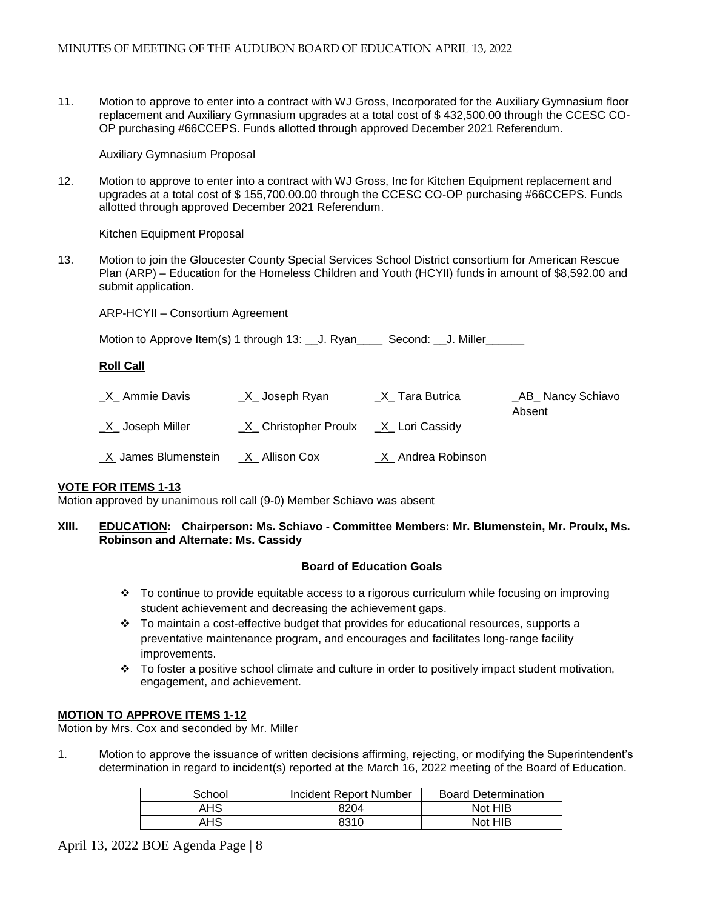11. Motion to approve to enter into a contract with WJ Gross, Incorporated for the Auxiliary Gymnasium floor replacement and Auxiliary Gymnasium upgrades at a total cost of \$ 432,500.00 through the CCESC CO-OP purchasing #66CCEPS. Funds allotted through approved December 2021 Referendum.

Auxiliary Gymnasium Proposal

12. Motion to approve to enter into a contract with WJ Gross, Inc for Kitchen Equipment replacement and upgrades at a total cost of \$ 155,700.00.00 through the CCESC CO-OP purchasing #66CCEPS. Funds allotted through approved December 2021 Referendum.

Kitchen Equipment Proposal

13. Motion to join the Gloucester County Special Services School District consortium for American Rescue Plan (ARP) – Education for the Homeless Children and Youth (HCYII) funds in amount of \$8,592.00 and submit application.

ARP-HCYII – Consortium Agreement

| Motion to Approve Item(s) 1 through 13: 1. Ryan |  | Second: J. Miller |  |
|-------------------------------------------------|--|-------------------|--|
|                                                 |  |                   |  |

## **Roll Call**

| X Ammie Davis          | <u>X</u> _Joseph Ryan  | _X_Tara Butrica   | <b>AB</b> Nancy Schiavo<br>Absent |
|------------------------|------------------------|-------------------|-----------------------------------|
| <u>X</u> Joseph Miller | _X_ Christopher Proulx | _X_ Lori Cassidy  |                                   |
| X James Blumenstein    | <u>X_</u> Allison Cox  | X Andrea Robinson |                                   |

#### **VOTE FOR ITEMS 1-13**

Motion approved by unanimous roll call (9-0) Member Schiavo was absent

#### **XIII. EDUCATION: Chairperson: Ms. Schiavo - Committee Members: Mr. Blumenstein, Mr. Proulx, Ms. Robinson and Alternate: Ms. Cassidy**

#### **Board of Education Goals**

- $\div$  To continue to provide equitable access to a rigorous curriculum while focusing on improving student achievement and decreasing the achievement gaps.
- To maintain a cost-effective budget that provides for educational resources, supports a preventative maintenance program, and encourages and facilitates long-range facility improvements.
- $\cdot \cdot$  To foster a positive school climate and culture in order to positively impact student motivation, engagement, and achievement.

#### **MOTION TO APPROVE ITEMS 1-12**

Motion by Mrs. Cox and seconded by Mr. Miller

1. Motion to approve the issuance of written decisions affirming, rejecting, or modifying the Superintendent's determination in regard to incident(s) reported at the March 16, 2022 meeting of the Board of Education.

| School | Incident Report Number | <b>Board Determination</b> |
|--------|------------------------|----------------------------|
| AHS    | 8204                   | Not HIB                    |
| AHS    | 8310                   | Not HIB                    |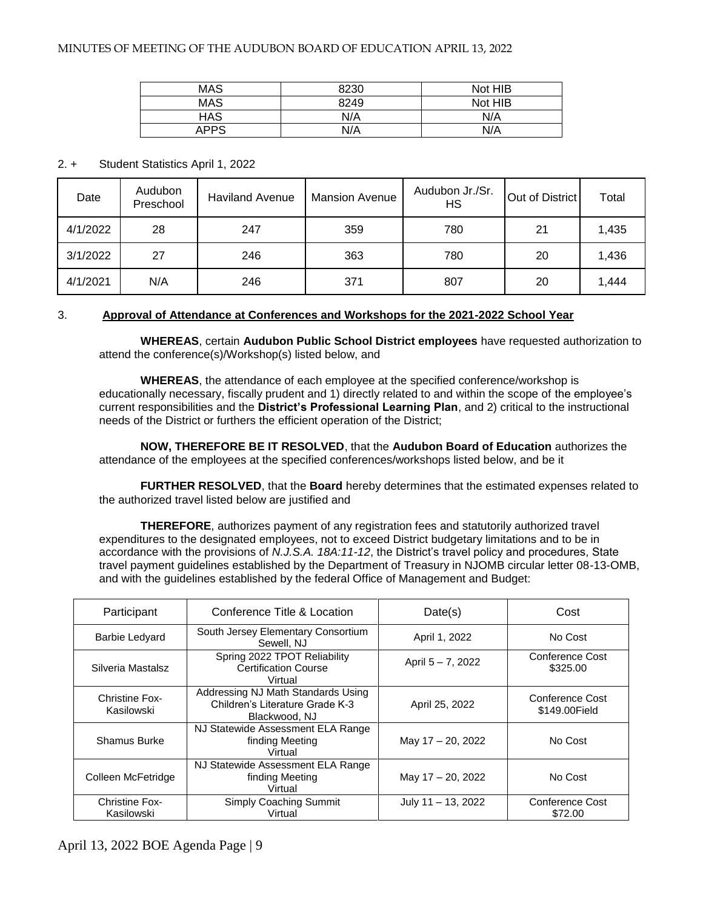| <b>MAS</b>  | 8230 | Not HIB |
|-------------|------|---------|
| <b>MAS</b>  | 8249 | Not HIB |
| HAS         | N/A  | N/A     |
| <b>APPS</b> | N/A  | N/A     |

## 2. + Student Statistics April 1, 2022

| Date     | Audubon<br>Preschool | <b>Haviland Avenue</b> | <b>Mansion Avenue</b> | Audubon Jr./Sr.<br>HS | Out of District | Total |
|----------|----------------------|------------------------|-----------------------|-----------------------|-----------------|-------|
| 4/1/2022 | 28                   | 247                    | 359                   | 780                   | 21              | 1,435 |
| 3/1/2022 | 27                   | 246                    | 363                   | 780                   | 20              | 1,436 |
| 4/1/2021 | N/A                  | 246                    | 371                   | 807                   | 20              | 1,444 |

## 3. **Approval of Attendance at Conferences and Workshops for the 2021-2022 School Year**

 **WHEREAS**, certain **Audubon Public School District employees** have requested authorization to attend the conference(s)/Workshop(s) listed below, and

**WHEREAS**, the attendance of each employee at the specified conference/workshop is educationally necessary, fiscally prudent and 1) directly related to and within the scope of the employee's current responsibilities and the **District's Professional Learning Plan**, and 2) critical to the instructional needs of the District or furthers the efficient operation of the District;

**NOW, THEREFORE BE IT RESOLVED**, that the **Audubon Board of Education** authorizes the attendance of the employees at the specified conferences/workshops listed below, and be it

**FURTHER RESOLVED**, that the **Board** hereby determines that the estimated expenses related to the authorized travel listed below are justified and

**THEREFORE**, authorizes payment of any registration fees and statutorily authorized travel expenditures to the designated employees, not to exceed District budgetary limitations and to be in accordance with the provisions of *N.J.S.A. 18A:11-12*, the District's travel policy and procedures, State travel payment guidelines established by the Department of Treasury in NJOMB circular letter 08-13-OMB, and with the guidelines established by the federal Office of Management and Budget:

| Participant                         | Conference Title & Location                                                            | Date(s)               | Cost                             |
|-------------------------------------|----------------------------------------------------------------------------------------|-----------------------|----------------------------------|
| <b>Barbie Ledyard</b>               | South Jersey Elementary Consortium<br>Sewell, NJ                                       | April 1, 2022         | No Cost                          |
| Silveria Mastalsz                   | Spring 2022 TPOT Reliability<br><b>Certification Course</b><br>Virtual                 | April 5 - 7, 2022     | Conference Cost<br>\$325.00      |
| <b>Christine Fox-</b><br>Kasilowski | Addressing NJ Math Standards Using<br>Children's Literature Grade K-3<br>Blackwood, NJ | April 25, 2022        | Conference Cost<br>\$149,00Field |
| Shamus Burke                        | NJ Statewide Assessment ELA Range<br>finding Meeting<br>Virtual                        | May 17 - 20, 2022     | No Cost                          |
| Colleen McFetridge                  | NJ Statewide Assessment ELA Range<br>finding Meeting<br>Virtual                        | May 17 - 20, 2022     | No Cost                          |
| <b>Christine Fox-</b><br>Kasilowski | Simply Coaching Summit<br>Virtual                                                      | July $11 - 13$ , 2022 | Conference Cost<br>\$72.00       |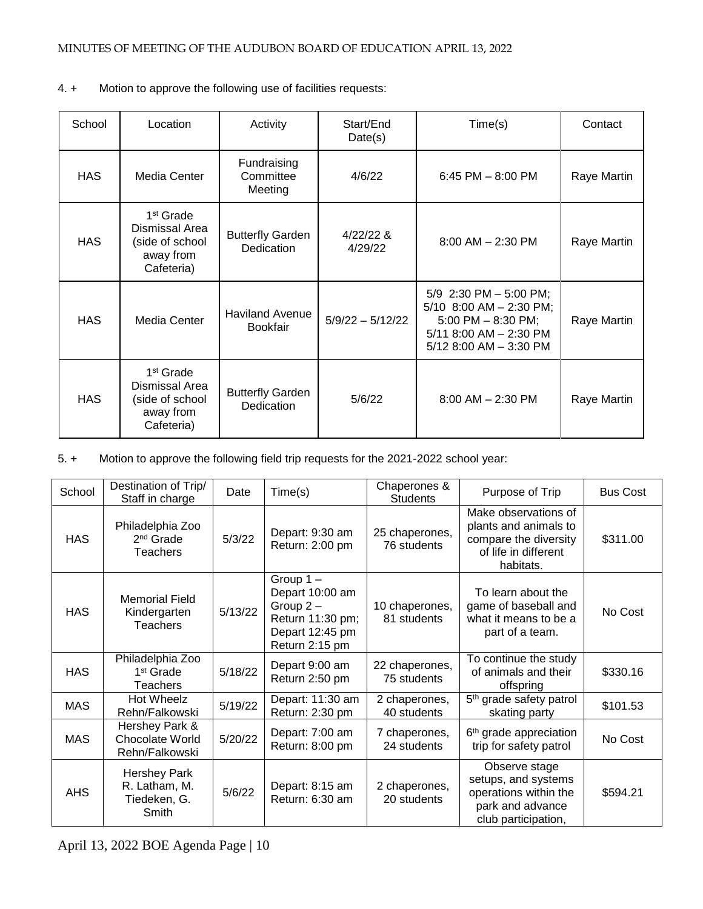| School     | Location                                                                              | Activity                                  | Start/End<br>Date(s) | Time(s)                                                                                                                                   | Contact     |
|------------|---------------------------------------------------------------------------------------|-------------------------------------------|----------------------|-------------------------------------------------------------------------------------------------------------------------------------------|-------------|
| <b>HAS</b> | Media Center                                                                          | Fundraising<br>Committee<br>Meeting       | 4/6/22               | 6:45 PM $-$ 8:00 PM                                                                                                                       | Raye Martin |
| <b>HAS</b> | 1 <sup>st</sup> Grade<br>Dismissal Area<br>(side of school<br>away from<br>Cafeteria) | <b>Butterfly Garden</b><br>Dedication     | 4/22/228<br>4/29/22  | $8:00$ AM $- 2:30$ PM                                                                                                                     | Raye Martin |
| <b>HAS</b> | Media Center                                                                          | <b>Haviland Avenue</b><br><b>Bookfair</b> | $5/9/22 - 5/12/22$   | 5/9 2:30 PM $-$ 5:00 PM;<br>5/10 8:00 AM $-$ 2:30 PM;<br>5:00 PM $-$ 8:30 PM;<br>$5/11$ 8:00 AM $-$ 2:30 PM<br>$5/12$ 8:00 AM $-$ 3:30 PM | Raye Martin |
| <b>HAS</b> | 1 <sup>st</sup> Grade<br>Dismissal Area<br>(side of school<br>away from<br>Cafeteria) | <b>Butterfly Garden</b><br>Dedication     | 5/6/22               | $8:00$ AM $- 2:30$ PM                                                                                                                     | Raye Martin |

4. + Motion to approve the following use of facilities requests:

5. + Motion to approve the following field trip requests for the 2021-2022 school year:

| School     | Destination of Trip/<br>Staff in charge                       | Date    | Time(s)                                                                                                | Chaperones &<br><b>Students</b> | Purpose of Trip                                                                                             | <b>Bus Cost</b> |
|------------|---------------------------------------------------------------|---------|--------------------------------------------------------------------------------------------------------|---------------------------------|-------------------------------------------------------------------------------------------------------------|-----------------|
| <b>HAS</b> | Philadelphia Zoo<br>2 <sup>nd</sup> Grade<br><b>Teachers</b>  | 5/3/22  | Depart: 9:30 am<br>Return: 2:00 pm                                                                     | 25 chaperones,<br>76 students   | Make observations of<br>plants and animals to<br>compare the diversity<br>of life in different<br>habitats. | \$311.00        |
| <b>HAS</b> | <b>Memorial Field</b><br>Kindergarten<br><b>Teachers</b>      | 5/13/22 | Group $1 -$<br>Depart 10:00 am<br>Group $2 -$<br>Return 11:30 pm;<br>Depart 12:45 pm<br>Return 2:15 pm | 10 chaperones,<br>81 students   | To learn about the<br>game of baseball and<br>what it means to be a<br>part of a team.                      | No Cost         |
| <b>HAS</b> | Philadelphia Zoo<br>1 <sup>st</sup> Grade<br><b>Teachers</b>  | 5/18/22 | Depart 9:00 am<br>Return 2:50 pm                                                                       | 22 chaperones,<br>75 students   | To continue the study<br>of animals and their<br>offspring                                                  | \$330.16        |
| <b>MAS</b> | Hot Wheelz<br>Rehn/Falkowski                                  | 5/19/22 | Depart: 11:30 am<br>Return: 2:30 pm                                                                    | 2 chaperones,<br>40 students    | 5 <sup>th</sup> grade safety patrol<br>skating party                                                        | \$101.53        |
| <b>MAS</b> | Hershey Park &<br><b>Chocolate World</b><br>Rehn/Falkowski    | 5/20/22 | Depart: 7:00 am<br>Return: 8:00 pm                                                                     | 7 chaperones,<br>24 students    | 6 <sup>th</sup> grade appreciation<br>trip for safety patrol                                                | No Cost         |
| <b>AHS</b> | <b>Hershey Park</b><br>R. Latham, M.<br>Tiedeken, G.<br>Smith | 5/6/22  | Depart: 8:15 am<br>Return: 6:30 am                                                                     | 2 chaperones,<br>20 students    | Observe stage<br>setups, and systems<br>operations within the<br>park and advance<br>club participation,    | \$594.21        |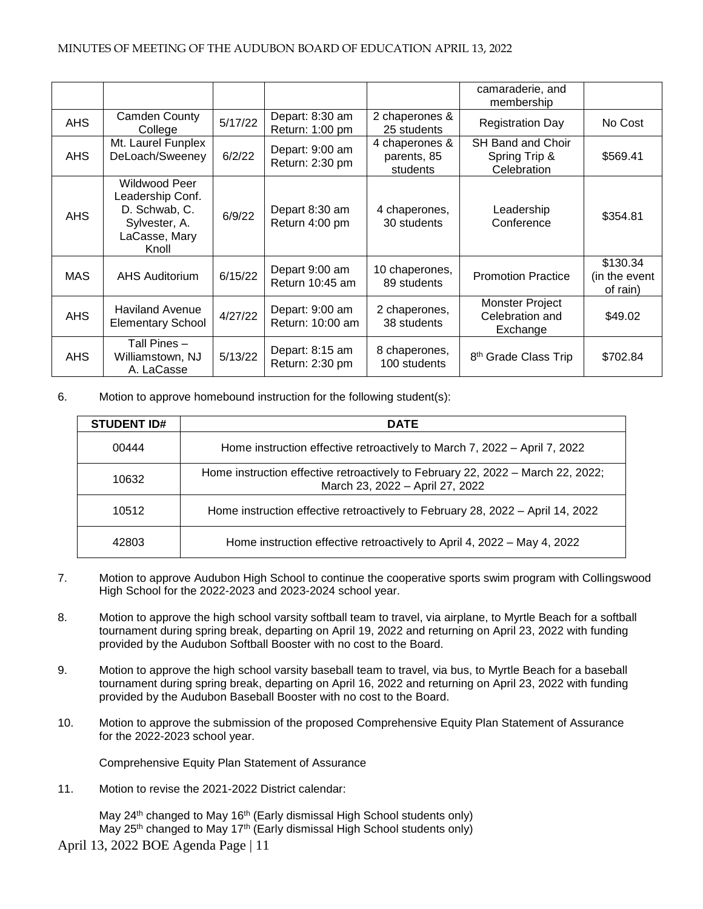|            |                                                                                               |         |                                     |                                           | camaraderie, and<br>membership                           |                                       |
|------------|-----------------------------------------------------------------------------------------------|---------|-------------------------------------|-------------------------------------------|----------------------------------------------------------|---------------------------------------|
| <b>AHS</b> | Camden County<br>College                                                                      | 5/17/22 | Depart: 8:30 am<br>Return: 1:00 pm  | 2 chaperones &<br>25 students             | <b>Registration Day</b>                                  | No Cost                               |
| AHS        | Mt. Laurel Funplex<br>DeLoach/Sweeney                                                         | 6/2/22  | Depart: 9:00 am<br>Return: 2:30 pm  | 4 chaperones &<br>parents, 85<br>students | <b>SH Band and Choir</b><br>Spring Trip &<br>Celebration | \$569.41                              |
| <b>AHS</b> | Wildwood Peer<br>Leadership Conf.<br>D. Schwab, C.<br>Sylvester, A.<br>LaCasse, Mary<br>Knoll | 6/9/22  | Depart 8:30 am<br>Return 4:00 pm    | 4 chaperones,<br>30 students              | Leadership<br>Conference                                 | \$354.81                              |
| <b>MAS</b> | <b>AHS Auditorium</b>                                                                         | 6/15/22 | Depart 9:00 am<br>Return 10:45 am   | 10 chaperones,<br>89 students             | <b>Promotion Practice</b>                                | \$130.34<br>(in the event<br>of rain) |
| <b>AHS</b> | <b>Haviland Avenue</b><br><b>Elementary School</b>                                            | 4/27/22 | Depart: 9:00 am<br>Return: 10:00 am | 2 chaperones,<br>38 students              | Monster Project<br>Celebration and<br>Exchange           | \$49.02                               |
| <b>AHS</b> | Tall Pines -<br>Williamstown, NJ<br>A. LaCasse                                                | 5/13/22 | Depart: 8:15 am<br>Return: 2:30 pm  | 8 chaperones,<br>100 students             | 8 <sup>th</sup> Grade Class Trip                         | \$702.84                              |

## 6. Motion to approve homebound instruction for the following student(s):

| <b>STUDENT ID#</b> | <b>DATE</b>                                                                                                        |
|--------------------|--------------------------------------------------------------------------------------------------------------------|
| 00444              | Home instruction effective retroactively to March 7, 2022 - April 7, 2022                                          |
| 10632              | Home instruction effective retroactively to February 22, 2022 - March 22, 2022;<br>March 23, 2022 - April 27, 2022 |
| 10512              | Home instruction effective retroactively to February 28, 2022 – April 14, 2022                                     |
| 42803              | Home instruction effective retroactively to April 4, 2022 – May 4, 2022                                            |

- 7. Motion to approve Audubon High School to continue the cooperative sports swim program with Collingswood High School for the 2022-2023 and 2023-2024 school year.
- 8. Motion to approve the high school varsity softball team to travel, via airplane, to Myrtle Beach for a softball tournament during spring break, departing on April 19, 2022 and returning on April 23, 2022 with funding provided by the Audubon Softball Booster with no cost to the Board.
- 9. Motion to approve the high school varsity baseball team to travel, via bus, to Myrtle Beach for a baseball tournament during spring break, departing on April 16, 2022 and returning on April 23, 2022 with funding provided by the Audubon Baseball Booster with no cost to the Board.
- 10. Motion to approve the submission of the proposed Comprehensive Equity Plan Statement of Assurance for the 2022-2023 school year.

Comprehensive Equity Plan Statement of Assurance

11. Motion to revise the 2021-2022 District calendar:

May 24<sup>th</sup> changed to May 16<sup>th</sup> (Early dismissal High School students only) May 25<sup>th</sup> changed to May 17<sup>th</sup> (Early dismissal High School students only)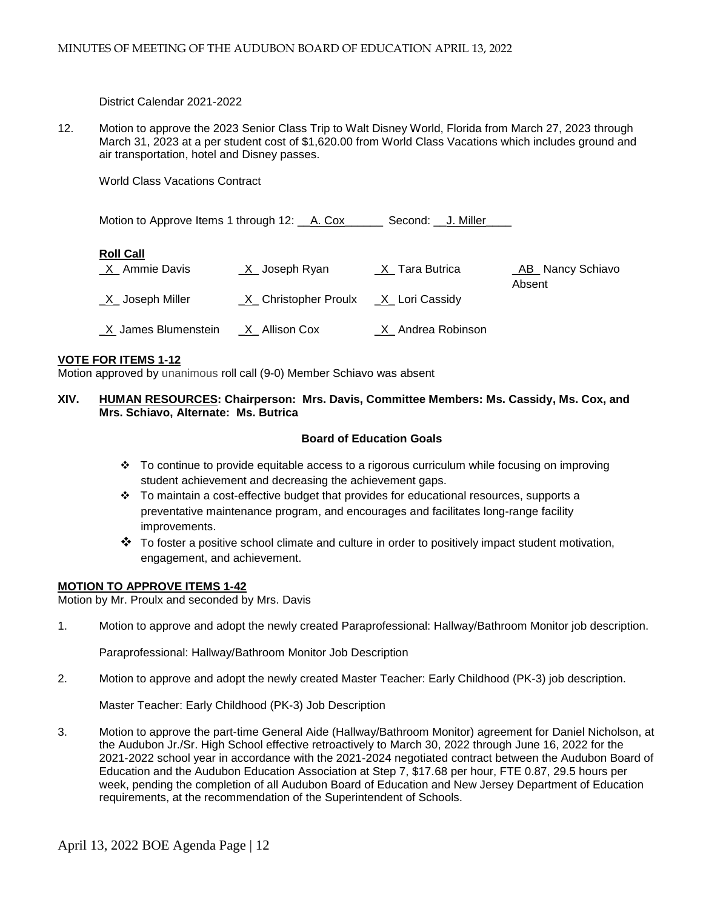District Calendar 2021-2022

12. Motion to approve the 2023 Senior Class Trip to Walt Disney World, Florida from March 27, 2023 through March 31, 2023 at a per student cost of \$1,620.00 from World Class Vacations which includes ground and air transportation, hotel and Disney passes.

World Class Vacations Contract

| Motion to Approve Items 1 through 12: A. Cox |                        | Second: J. Miller |                    |
|----------------------------------------------|------------------------|-------------------|--------------------|
| <b>Roll Call</b>                             |                        |                   |                    |
| X Ammie Davis                                | $X$ Joseph Ryan        | _X_Tara Butrica   | _AB_ Nancy Schiavo |
| $X$ Joseph Miller                            | _X_ Christopher Proulx | _X_ Lori Cassidy  | Absent             |
| X James Blumenstein                          | $X$ Allison Cox        | X Andrea Robinson |                    |

## **VOTE FOR ITEMS 1-12**

Motion approved by unanimous roll call (9-0) Member Schiavo was absent

## **XIV. HUMAN RESOURCES: Chairperson: Mrs. Davis, Committee Members: Ms. Cassidy, Ms. Cox, and Mrs. Schiavo, Alternate: Ms. Butrica**

## **Board of Education Goals**

- $\div$  To continue to provide equitable access to a rigorous curriculum while focusing on improving student achievement and decreasing the achievement gaps.
- $\div$  To maintain a cost-effective budget that provides for educational resources, supports a preventative maintenance program, and encourages and facilitates long-range facility improvements.
- $\clubsuit$  To foster a positive school climate and culture in order to positively impact student motivation, engagement, and achievement.

#### **MOTION TO APPROVE ITEMS 1-42**

Motion by Mr. Proulx and seconded by Mrs. Davis

1. Motion to approve and adopt the newly created Paraprofessional: Hallway/Bathroom Monitor job description.

Paraprofessional: Hallway/Bathroom Monitor Job Description

2. Motion to approve and adopt the newly created Master Teacher: Early Childhood (PK-3) job description.

Master Teacher: Early Childhood (PK-3) Job Description

3. Motion to approve the part-time General Aide (Hallway/Bathroom Monitor) agreement for Daniel Nicholson, at the Audubon Jr./Sr. High School effective retroactively to March 30, 2022 through June 16, 2022 for the 2021-2022 school year in accordance with the 2021-2024 negotiated contract between the Audubon Board of Education and the Audubon Education Association at Step 7, \$17.68 per hour, FTE 0.87, 29.5 hours per week, pending the completion of all Audubon Board of Education and New Jersey Department of Education requirements, at the recommendation of the Superintendent of Schools.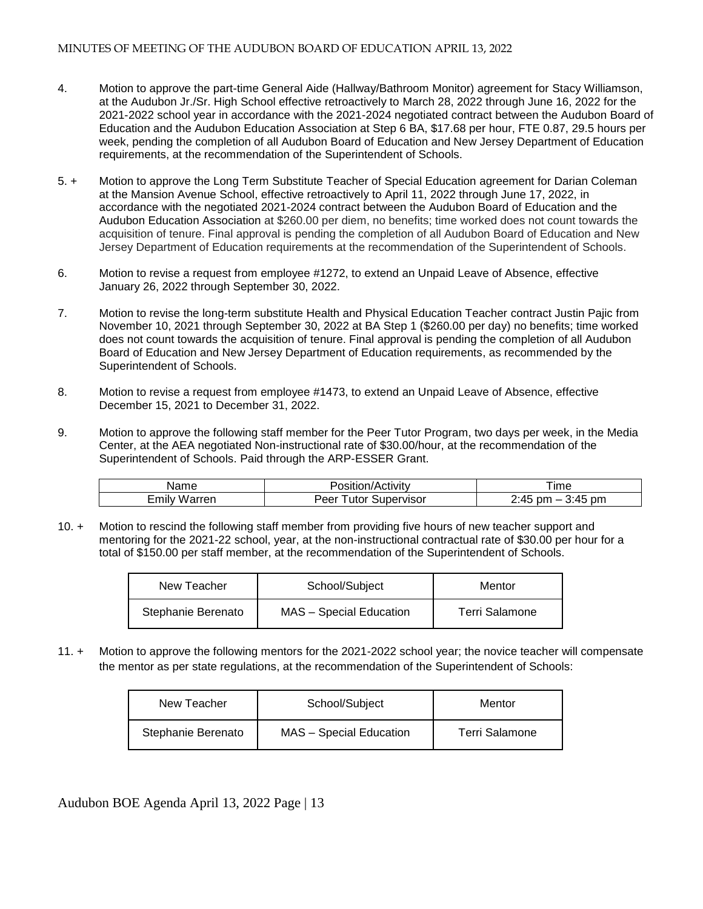- 4. Motion to approve the part-time General Aide (Hallway/Bathroom Monitor) agreement for Stacy Williamson, at the Audubon Jr./Sr. High School effective retroactively to March 28, 2022 through June 16, 2022 for the 2021-2022 school year in accordance with the 2021-2024 negotiated contract between the Audubon Board of Education and the Audubon Education Association at Step 6 BA, \$17.68 per hour, FTE 0.87, 29.5 hours per week, pending the completion of all Audubon Board of Education and New Jersey Department of Education requirements, at the recommendation of the Superintendent of Schools.
- 5. + Motion to approve the Long Term Substitute Teacher of Special Education agreement for Darian Coleman at the Mansion Avenue School, effective retroactively to April 11, 2022 through June 17, 2022, in accordance with the negotiated 2021-2024 contract between the Audubon Board of Education and the Audubon Education Association at \$260.00 per diem, no benefits; time worked does not count towards the acquisition of tenure. Final approval is pending the completion of all Audubon Board of Education and New Jersey Department of Education requirements at the recommendation of the Superintendent of Schools.
- 6. Motion to revise a request from employee #1272, to extend an Unpaid Leave of Absence, effective January 26, 2022 through September 30, 2022.
- 7. Motion to revise the long-term substitute Health and Physical Education Teacher contract Justin Pajic from November 10, 2021 through September 30, 2022 at BA Step 1 (\$260.00 per day) no benefits; time worked does not count towards the acquisition of tenure. Final approval is pending the completion of all Audubon Board of Education and New Jersey Department of Education requirements, as recommended by the Superintendent of Schools.
- 8. Motion to revise a request from employee #1473, to extend an Unpaid Leave of Absence, effective December 15, 2021 to December 31, 2022.
- 9. Motion to approve the following staff member for the Peer Tutor Program, two days per week, in the Media Center, at the AEA negotiated Non-instructional rate of \$30.00/hour, at the recommendation of the Superintendent of Schools. Paid through the ARP-ESSER Grant.

| Name          | ctivity<br>uonzac        | --<br>ıme                                      |
|---------------|--------------------------|------------------------------------------------|
| Emil<br>arrer | oervisor<br>utor<br>Peer | :45<br>0.45<br>pm<br>nm<br>$-$<br>J.<br>᠇៶<br> |

10. + Motion to rescind the following staff member from providing five hours of new teacher support and mentoring for the 2021-22 school, year, at the non-instructional contractual rate of \$30.00 per hour for a total of \$150.00 per staff member, at the recommendation of the Superintendent of Schools.

| New Teacher        | School/Subject                 | Mentor         |
|--------------------|--------------------------------|----------------|
| Stephanie Berenato | <b>MAS</b> - Special Education | Terri Salamone |

11. + Motion to approve the following mentors for the 2021-2022 school year; the novice teacher will compensate the mentor as per state regulations, at the recommendation of the Superintendent of Schools:

| New Teacher        | School/Subject                 | Mentor         |
|--------------------|--------------------------------|----------------|
| Stephanie Berenato | <b>MAS</b> – Special Education | Terri Salamone |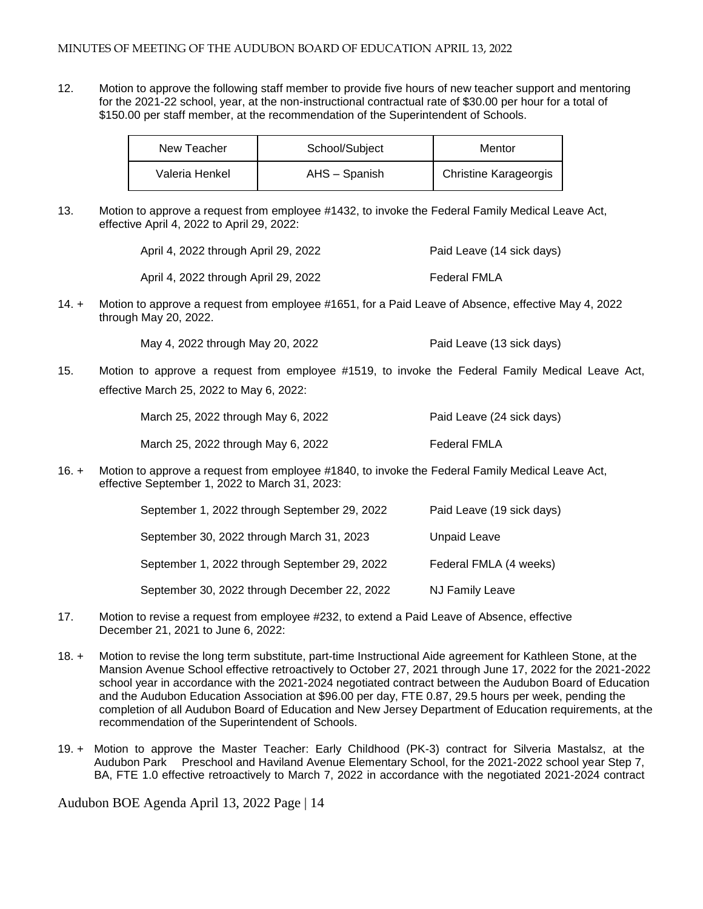12. Motion to approve the following staff member to provide five hours of new teacher support and mentoring for the 2021-22 school, year, at the non-instructional contractual rate of \$30.00 per hour for a total of \$150.00 per staff member, at the recommendation of the Superintendent of Schools.

| New Teacher    | School/Subject | Mentor                       |
|----------------|----------------|------------------------------|
| Valeria Henkel | AHS – Spanish  | <b>Christine Karageorgis</b> |

13. Motion to approve a request from employee #1432, to invoke the Federal Family Medical Leave Act, effective April 4, 2022 to April 29, 2022:

| April 4, 2022 through April 29, 2022 | Paid Leave (14 sick days) |
|--------------------------------------|---------------------------|
| April 4, 2022 through April 29, 2022 | <b>Federal FMLA</b>       |

14. + Motion to approve a request from employee #1651, for a Paid Leave of Absence, effective May 4, 2022 through May 20, 2022.

May 4, 2022 through May 20, 2022 Paid Leave (13 sick days)

15. Motion to approve a request from employee #1519, to invoke the Federal Family Medical Leave Act, effective March 25, 2022 to May 6, 2022:

| March 25, 2022 through May 6, 2022 | Paid Leave (24 sick days) |
|------------------------------------|---------------------------|
| March 25, 2022 through May 6, 2022 | Federal FMLA              |

16. + Motion to approve a request from employee #1840, to invoke the Federal Family Medical Leave Act, effective September 1, 2022 to March 31, 2023:

| September 1, 2022 through September 29, 2022 | Paid Leave (19 sick days) |
|----------------------------------------------|---------------------------|
| September 30, 2022 through March 31, 2023    | <b>Unpaid Leave</b>       |
| September 1, 2022 through September 29, 2022 | Federal FMLA (4 weeks)    |
| September 30, 2022 through December 22, 2022 | <b>NJ Family Leave</b>    |

- 17. Motion to revise a request from employee #232, to extend a Paid Leave of Absence, effective December 21, 2021 to June 6, 2022:
- 18. + Motion to revise the long term substitute, part-time Instructional Aide agreement for Kathleen Stone, at the Mansion Avenue School effective retroactively to October 27, 2021 through June 17, 2022 for the 2021-2022 school year in accordance with the 2021-2024 negotiated contract between the Audubon Board of Education and the Audubon Education Association at \$96.00 per day, FTE 0.87, 29.5 hours per week, pending the completion of all Audubon Board of Education and New Jersey Department of Education requirements, at the recommendation of the Superintendent of Schools.
- 19. + Motion to approve the Master Teacher: Early Childhood (PK-3) contract for Silveria Mastalsz, at the Audubon Park Preschool and Haviland Avenue Elementary School, for the 2021-2022 school year Step 7, BA, FTE 1.0 effective retroactively to March 7, 2022 in accordance with the negotiated 2021-2024 contract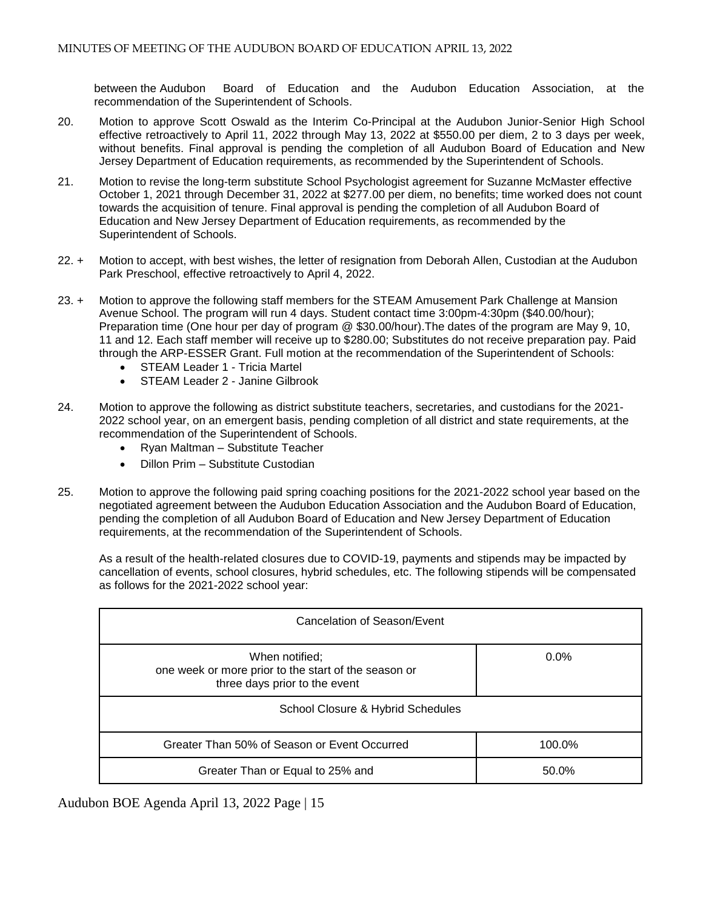between the Audubon Board of Education and the Audubon Education Association, at the recommendation of the Superintendent of Schools.

- 20. Motion to approve Scott Oswald as the Interim Co-Principal at the Audubon Junior-Senior High School effective retroactively to April 11, 2022 through May 13, 2022 at \$550.00 per diem, 2 to 3 days per week, without benefits. Final approval is pending the completion of all Audubon Board of Education and New Jersey Department of Education requirements, as recommended by the Superintendent of Schools.
- 21. Motion to revise the long-term substitute School Psychologist agreement for Suzanne McMaster effective October 1, 2021 through December 31, 2022 at \$277.00 per diem, no benefits; time worked does not count towards the acquisition of tenure. Final approval is pending the completion of all Audubon Board of Education and New Jersey Department of Education requirements, as recommended by the Superintendent of Schools.
- 22. + Motion to accept, with best wishes, the letter of resignation from Deborah Allen, Custodian at the Audubon Park Preschool, effective retroactively to April 4, 2022.
- 23. + Motion to approve the following staff members for the STEAM Amusement Park Challenge at Mansion Avenue School. The program will run 4 days. Student contact time 3:00pm-4:30pm (\$40.00/hour); Preparation time (One hour per day of program @ \$30.00/hour).The dates of the program are May 9, 10, 11 and 12. Each staff member will receive up to \$280.00; Substitutes do not receive preparation pay. Paid through the ARP-ESSER Grant. Full motion at the recommendation of the Superintendent of Schools:
	- STEAM Leader 1 Tricia Martel
	- STEAM Leader 2 Janine Gilbrook
- 24. Motion to approve the following as district substitute teachers, secretaries, and custodians for the 2021- 2022 school year, on an emergent basis, pending completion of all district and state requirements, at the recommendation of the Superintendent of Schools.
	- Ryan Maltman Substitute Teacher
	- Dillon Prim Substitute Custodian
- 25. Motion to approve the following paid spring coaching positions for the 2021-2022 school year based on the negotiated agreement between the Audubon Education Association and the Audubon Board of Education, pending the completion of all Audubon Board of Education and New Jersey Department of Education requirements, at the recommendation of the Superintendent of Schools.

As a result of the health-related closures due to COVID-19, payments and stipends may be impacted by cancellation of events, school closures, hybrid schedules, etc. The following stipends will be compensated as follows for the 2021-2022 school year:

| Cancelation of Season/Event                                                                             |         |  |
|---------------------------------------------------------------------------------------------------------|---------|--|
| When notified;<br>one week or more prior to the start of the season or<br>three days prior to the event | $0.0\%$ |  |
| School Closure & Hybrid Schedules                                                                       |         |  |
| Greater Than 50% of Season or Event Occurred                                                            | 100.0%  |  |
| Greater Than or Equal to 25% and                                                                        | 50.0%   |  |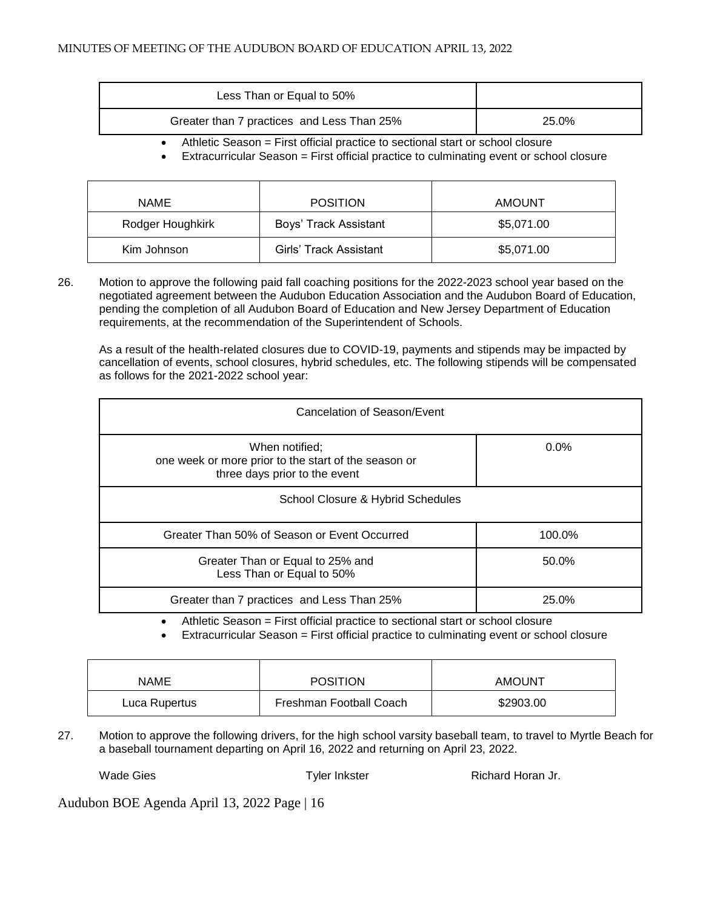| Less Than or Equal to 50%                  |       |
|--------------------------------------------|-------|
| Greater than 7 practices and Less Than 25% | 25.0% |

Athletic Season = First official practice to sectional start or school closure

Extracurricular Season = First official practice to culminating event or school closure

| <b>NAME</b>      | <b>POSITION</b>        | <b>AMOUNT</b> |
|------------------|------------------------|---------------|
| Rodger Houghkirk | Boys' Track Assistant  | \$5,071.00    |
| Kim Johnson      | Girls' Track Assistant | \$5,071.00    |

26. Motion to approve the following paid fall coaching positions for the 2022-2023 school year based on the negotiated agreement between the Audubon Education Association and the Audubon Board of Education, pending the completion of all Audubon Board of Education and New Jersey Department of Education requirements, at the recommendation of the Superintendent of Schools.

As a result of the health-related closures due to COVID-19, payments and stipends may be impacted by cancellation of events, school closures, hybrid schedules, etc. The following stipends will be compensated as follows for the 2021-2022 school year:

| Cancelation of Season/Event                                                                             |         |  |
|---------------------------------------------------------------------------------------------------------|---------|--|
| When notified;<br>one week or more prior to the start of the season or<br>three days prior to the event | $0.0\%$ |  |
| School Closure & Hybrid Schedules                                                                       |         |  |
| Greater Than 50% of Season or Event Occurred                                                            | 100.0%  |  |
| Greater Than or Equal to 25% and<br>Less Than or Equal to 50%                                           | 50.0%   |  |
| Greater than 7 practices and Less Than 25%                                                              | 25.0%   |  |

Athletic Season = First official practice to sectional start or school closure

Extracurricular Season = First official practice to culminating event or school closure

| NAME          | <b>POSITION</b>         | <b>AMOUNT</b> |
|---------------|-------------------------|---------------|
| Luca Rupertus | Freshman Football Coach | \$2903.00     |

27. Motion to approve the following drivers, for the high school varsity baseball team, to travel to Myrtle Beach for a baseball tournament departing on April 16, 2022 and returning on April 23, 2022.

Wade Gies **Tyler Inkster Richard Horan Jr. CONS**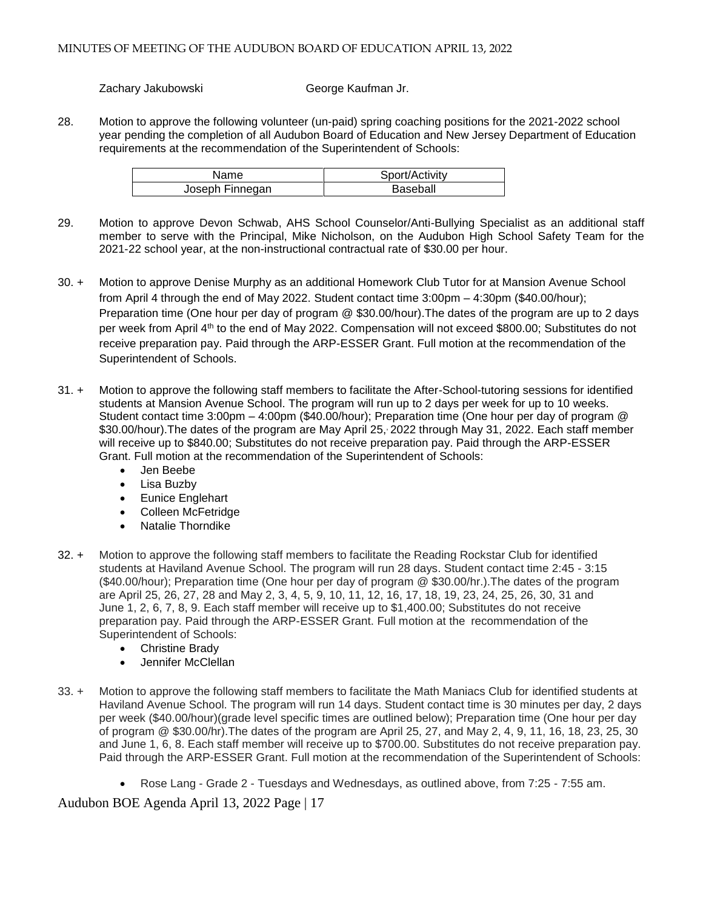Zachary Jakubowski George Kaufman Jr.

28. Motion to approve the following volunteer (un-paid) spring coaching positions for the 2021-2022 school year pending the completion of all Audubon Board of Education and New Jersey Department of Education requirements at the recommendation of the Superintendent of Schools:

| Name.           | Sport/Activity |
|-----------------|----------------|
| Joseph Finnegan | Baseball       |

- 29. Motion to approve Devon Schwab, AHS School Counselor/Anti-Bullying Specialist as an additional staff member to serve with the Principal, Mike Nicholson, on the Audubon High School Safety Team for the 2021-22 school year, at the non-instructional contractual rate of \$30.00 per hour.
- 30. + Motion to approve Denise Murphy as an additional Homework Club Tutor for at Mansion Avenue School from April 4 through the end of May 2022. Student contact time 3:00pm – 4:30pm (\$40.00/hour); Preparation time (One hour per day of program @ \$30.00/hour).The dates of the program are up to 2 days per week from April 4<sup>th</sup> to the end of May 2022. Compensation will not exceed \$800.00; Substitutes do not receive preparation pay. Paid through the ARP-ESSER Grant. Full motion at the recommendation of the Superintendent of Schools.
- 31. + Motion to approve the following staff members to facilitate the After-School-tutoring sessions for identified students at Mansion Avenue School. The program will run up to 2 days per week for up to 10 weeks. Student contact time 3:00pm – 4:00pm (\$40.00/hour); Preparation time (One hour per day of program @ \$30.00/hour).The dates of the program are May April 25, , 2022 through May 31, 2022. Each staff member will receive up to \$840.00; Substitutes do not receive preparation pay. Paid through the ARP-ESSER Grant. Full motion at the recommendation of the Superintendent of Schools:
	- Jen Beebe
	- Lisa Buzby
	- **•** Eunice Englehart
	- Colleen McFetridge
	- Natalie Thorndike
- 32. + Motion to approve the following staff members to facilitate the Reading Rockstar Club for identified students at Haviland Avenue School. The program will run 28 days. Student contact time 2:45 - 3:15 (\$40.00/hour); Preparation time (One hour per day of program @ \$30.00/hr.).The dates of the program are April 25, 26, 27, 28 and May 2, 3, 4, 5, 9, 10, 11, 12, 16, 17, 18, 19, 23, 24, 25, 26, 30, 31 and June 1, 2, 6, 7, 8, 9. Each staff member will receive up to \$1,400.00; Substitutes do not receive preparation pay. Paid through the ARP-ESSER Grant. Full motion at the recommendation of the Superintendent of Schools:
	- Christine Brady
	- Jennifer McClellan
- 33. + Motion to approve the following staff members to facilitate the Math Maniacs Club for identified students at Haviland Avenue School. The program will run 14 days. Student contact time is 30 minutes per day, 2 days per week (\$40.00/hour)(grade level specific times are outlined below); Preparation time (One hour per day of program @ \$30.00/hr).The dates of the program are April 25, 27, and May 2, 4, 9, 11, 16, 18, 23, 25, 30 and June 1, 6, 8. Each staff member will receive up to \$700.00. Substitutes do not receive preparation pay. Paid through the ARP-ESSER Grant. Full motion at the recommendation of the Superintendent of Schools:
	- Rose Lang Grade 2 Tuesdays and Wednesdays, as outlined above, from 7:25 7:55 am.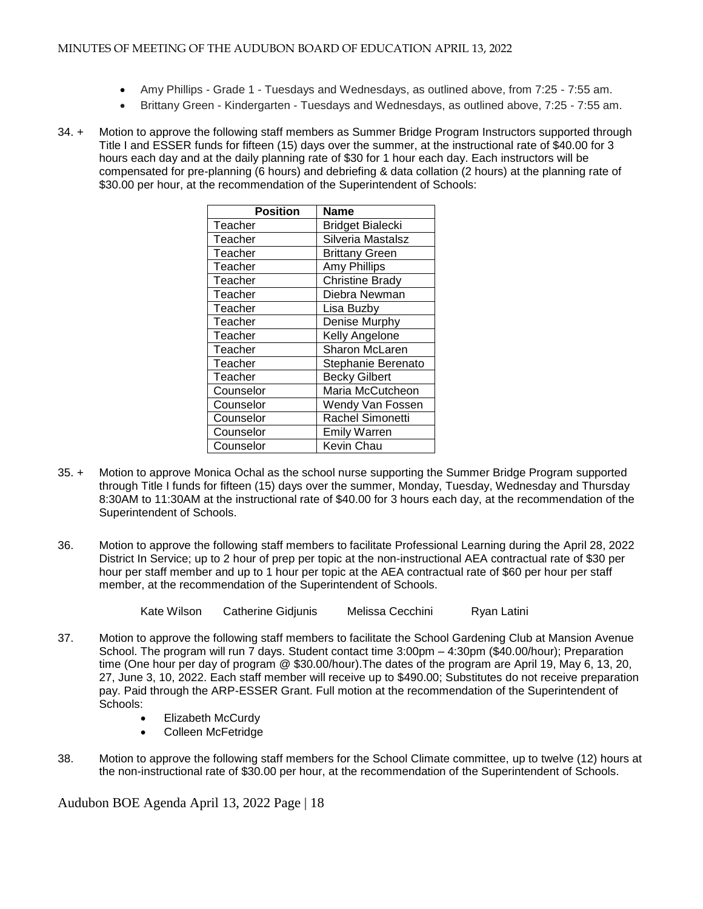- Amy Phillips Grade 1 Tuesdays and Wednesdays, as outlined above, from 7:25 7:55 am.
- Brittany Green Kindergarten Tuesdays and Wednesdays, as outlined above, 7:25 7:55 am.
- 34. + Motion to approve the following staff members as Summer Bridge Program Instructors supported through Title I and ESSER funds for fifteen (15) days over the summer, at the instructional rate of \$40.00 for 3 hours each day and at the daily planning rate of \$30 for 1 hour each day. Each instructors will be compensated for pre-planning (6 hours) and debriefing & data collation (2 hours) at the planning rate of \$30.00 per hour, at the recommendation of the Superintendent of Schools:

| <b>Position</b> | Name                    |
|-----------------|-------------------------|
| Teacher         | <b>Bridget Bialecki</b> |
| Teacher         | Silveria Mastalsz       |
| Teacher         | <b>Brittany Green</b>   |
| Teacher         | <b>Amy Phillips</b>     |
| Teacher         | <b>Christine Brady</b>  |
| Teacher         | Diebra Newman           |
| Teacher         | Lisa Buzby              |
| Teacher         | Denise Murphy           |
| Teacher         | Kelly Angelone          |
| Teacher         | Sharon McLaren          |
| Teacher         | Stephanie Berenato      |
| Teacher         | <b>Becky Gilbert</b>    |
| Counselor       | Maria McCutcheon        |
| Counselor       | Wendy Van Fossen        |
| Counselor       | Rachel Simonetti        |
| Counselor       | <b>Emily Warren</b>     |
| Counselor       | Kevin Chau              |

- 35. + Motion to approve Monica Ochal as the school nurse supporting the Summer Bridge Program supported through Title I funds for fifteen (15) days over the summer, Monday, Tuesday, Wednesday and Thursday 8:30AM to 11:30AM at the instructional rate of \$40.00 for 3 hours each day, at the recommendation of the Superintendent of Schools.
- 36. Motion to approve the following staff members to facilitate Professional Learning during the April 28, 2022 District In Service; up to 2 hour of prep per topic at the non-instructional AEA contractual rate of \$30 per hour per staff member and up to 1 hour per topic at the AEA contractual rate of \$60 per hour per staff member, at the recommendation of the Superintendent of Schools.

Kate Wilson Catherine Gidjunis Melissa Cecchini Ryan Latini

- 37. Motion to approve the following staff members to facilitate the School Gardening Club at Mansion Avenue School. The program will run 7 days. Student contact time 3:00pm – 4:30pm (\$40.00/hour); Preparation time (One hour per day of program @ \$30.00/hour).The dates of the program are April 19, May 6, 13, 20, 27, June 3, 10, 2022. Each staff member will receive up to \$490.00; Substitutes do not receive preparation pay. Paid through the ARP-ESSER Grant. Full motion at the recommendation of the Superintendent of Schools:
	- Elizabeth McCurdy
	- Colleen McFetridge
- 38. Motion to approve the following staff members for the School Climate committee, up to twelve (12) hours at the non-instructional rate of \$30.00 per hour, at the recommendation of the Superintendent of Schools.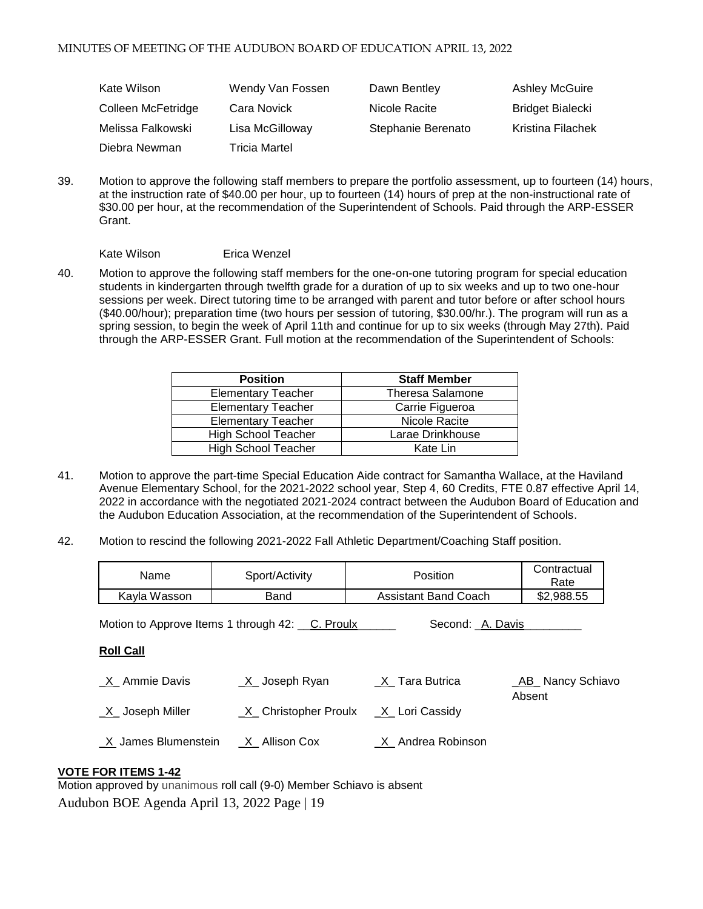| Kate Wilson        | Wendy Van Fossen     | Dawn Bentley       | <b>Ashley McGuire</b>   |
|--------------------|----------------------|--------------------|-------------------------|
| Colleen McFetridge | Cara Novick          | Nicole Racite      | <b>Bridget Bialecki</b> |
| Melissa Falkowski  | Lisa McGilloway      | Stephanie Berenato | Kristina Filachek       |
| Diebra Newman      | <b>Tricia Martel</b> |                    |                         |

39. Motion to approve the following staff members to prepare the portfolio assessment, up to fourteen (14) hours, at the instruction rate of \$40.00 per hour, up to fourteen (14) hours of prep at the non-instructional rate of \$30.00 per hour, at the recommendation of the Superintendent of Schools. Paid through the ARP-ESSER Grant.

Kate Wilson Erica Wenzel

40. Motion to approve the following staff members for the one-on-one tutoring program for special education students in kindergarten through twelfth grade for a duration of up to six weeks and up to two one-hour sessions per week. Direct tutoring time to be arranged with parent and tutor before or after school hours (\$40.00/hour); preparation time (two hours per session of tutoring, \$30.00/hr.). The program will run as a spring session, to begin the week of April 11th and continue for up to six weeks (through May 27th). Paid through the ARP-ESSER Grant. Full motion at the recommendation of the Superintendent of Schools:

| <b>Position</b>            | <b>Staff Member</b>     |
|----------------------------|-------------------------|
| <b>Elementary Teacher</b>  | <b>Theresa Salamone</b> |
| <b>Elementary Teacher</b>  | Carrie Figueroa         |
| <b>Elementary Teacher</b>  | Nicole Racite           |
| <b>High School Teacher</b> | Larae Drinkhouse        |
| <b>High School Teacher</b> | Kate Lin                |

- 41. Motion to approve the part-time Special Education Aide contract for Samantha Wallace, at the Haviland Avenue Elementary School, for the 2021-2022 school year, Step 4, 60 Credits, FTE 0.87 effective April 14, 2022 in accordance with the negotiated 2021-2024 contract between the Audubon Board of Education and the Audubon Education Association, at the recommendation of the Superintendent of Schools.
- 42. Motion to rescind the following 2021-2022 Fall Athletic Department/Coaching Staff position.

| Name                                                                | Sport/Activity         | <b>Position</b>               | Contractual<br>Rate          |  |
|---------------------------------------------------------------------|------------------------|-------------------------------|------------------------------|--|
| Kayla Wasson                                                        | Band                   | <b>Assistant Band Coach</b>   | \$2,988.55                   |  |
| Motion to Approve Items 1 through 42: C. Proulx<br>Second: A. Davis |                        |                               |                              |  |
| <b>Roll Call</b>                                                    |                        |                               |                              |  |
| _X_ Ammie Davis                                                     | $X$ Joseph Ryan        | $X$ <sub>_</sub> Tara Butrica | _AB_ Nancy Schiavo<br>Absent |  |
| $X$ Joseph Miller                                                   | _X_ Christopher Proulx | X Lori Cassidy                |                              |  |
| X James Blumenstein                                                 | X Allison Cox          | X Andrea Robinson             |                              |  |

## **VOTE FOR ITEMS 1-42**

Audubon BOE Agenda April 13, 2022 Page | 19 Motion approved by unanimous roll call (9-0) Member Schiavo is absent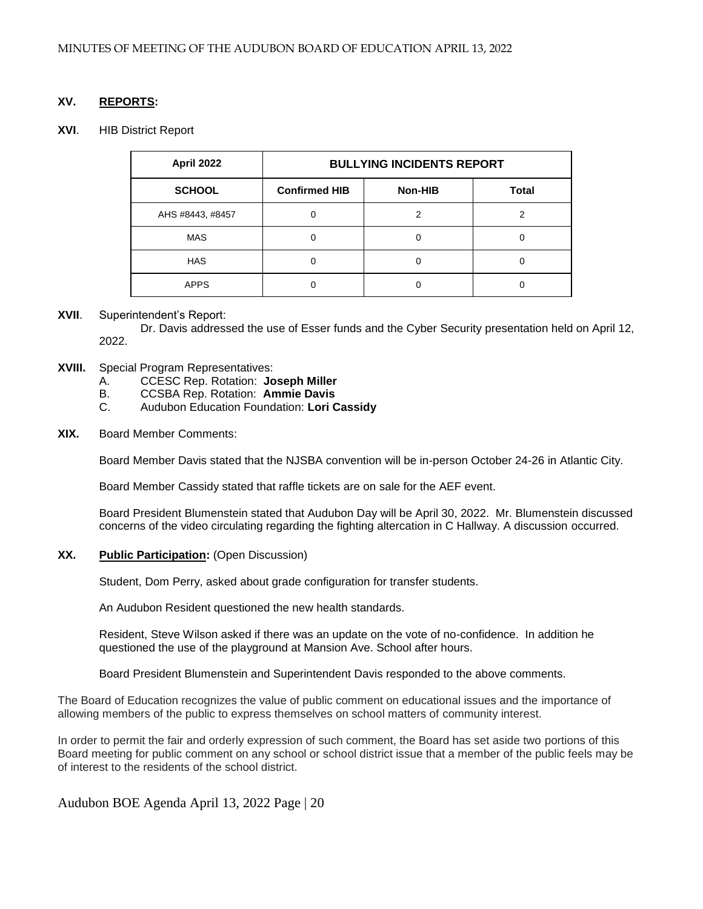## **XV. REPORTS:**

#### **XVI**. HIB District Report

| April 2022       | <b>BULLYING INCIDENTS REPORT</b> |         |              |  |
|------------------|----------------------------------|---------|--------------|--|
| <b>SCHOOL</b>    | <b>Confirmed HIB</b>             | Non-HIB | <b>Total</b> |  |
| AHS #8443, #8457 |                                  |         |              |  |
| <b>MAS</b>       |                                  |         |              |  |
| <b>HAS</b>       |                                  |         |              |  |
| <b>APPS</b>      |                                  |         |              |  |

#### **XVII**. Superintendent's Report:

Dr. Davis addressed the use of Esser funds and the Cyber Security presentation held on April 12, 2022.

- **XVIII.** Special Program Representatives:
	- A. CCESC Rep. Rotation: **Joseph Miller**
	- B. CCSBA Rep. Rotation: **Ammie Davis**
	- C. Audubon Education Foundation: **Lori Cassidy**

#### **XIX.** Board Member Comments:

Board Member Davis stated that the NJSBA convention will be in-person October 24-26 in Atlantic City.

Board Member Cassidy stated that raffle tickets are on sale for the AEF event.

Board President Blumenstein stated that Audubon Day will be April 30, 2022. Mr. Blumenstein discussed concerns of the video circulating regarding the fighting altercation in C Hallway. A discussion occurred.

#### **XX. Public Participation:** (Open Discussion)

Student, Dom Perry, asked about grade configuration for transfer students.

An Audubon Resident questioned the new health standards.

Resident, Steve Wilson asked if there was an update on the vote of no-confidence. In addition he questioned the use of the playground at Mansion Ave. School after hours.

Board President Blumenstein and Superintendent Davis responded to the above comments.

The Board of Education recognizes the value of public comment on educational issues and the importance of allowing members of the public to express themselves on school matters of community interest.

In order to permit the fair and orderly expression of such comment, the Board has set aside two portions of this Board meeting for public comment on any school or school district issue that a member of the public feels may be of interest to the residents of the school district.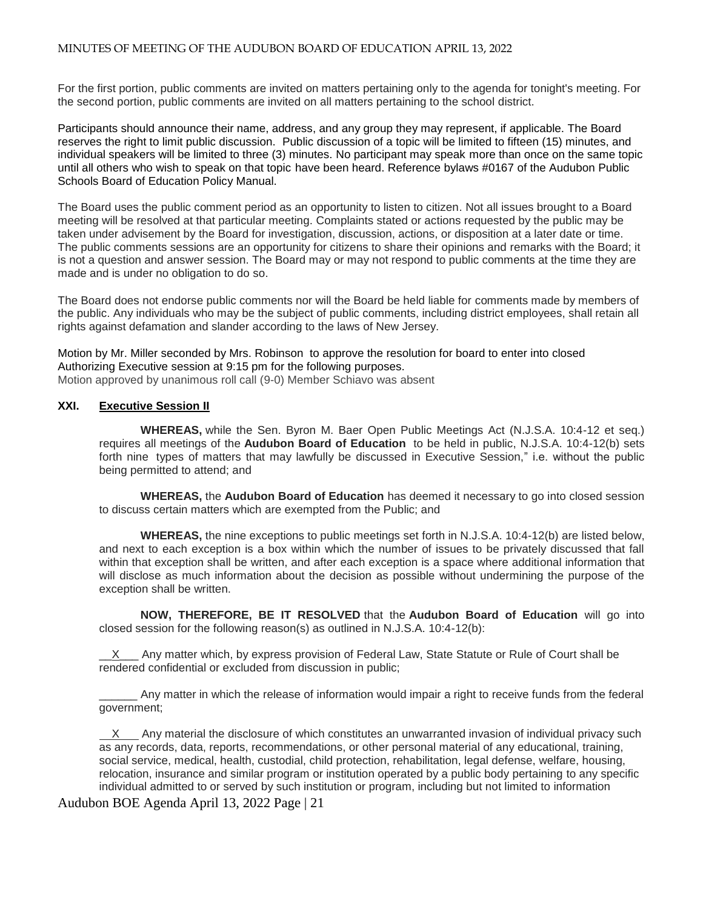For the first portion, public comments are invited on matters pertaining only to the agenda for tonight's meeting. For the second portion, public comments are invited on all matters pertaining to the school district.

Participants should announce their name, address, and any group they may represent, if applicable. The Board reserves the right to limit public discussion. Public discussion of a topic will be limited to fifteen (15) minutes, and individual speakers will be limited to three (3) minutes. No participant may speak more than once on the same topic until all others who wish to speak on that topic have been heard. Reference bylaws #0167 of the Audubon Public Schools Board of Education Policy Manual.

The Board uses the public comment period as an opportunity to listen to citizen. Not all issues brought to a Board meeting will be resolved at that particular meeting. Complaints stated or actions requested by the public may be taken under advisement by the Board for investigation, discussion, actions, or disposition at a later date or time. The public comments sessions are an opportunity for citizens to share their opinions and remarks with the Board; it is not a question and answer session. The Board may or may not respond to public comments at the time they are made and is under no obligation to do so.

The Board does not endorse public comments nor will the Board be held liable for comments made by members of the public. Any individuals who may be the subject of public comments, including district employees, shall retain all rights against defamation and slander according to the laws of New Jersey.

Motion by Mr. Miller seconded by Mrs. Robinson to approve the resolution for board to enter into closed Authorizing Executive session at 9:15 pm for the following purposes. Motion approved by unanimous roll call (9-0) Member Schiavo was absent

## **XXI. Executive Session II**

**WHEREAS,** while the Sen. Byron M. Baer Open Public Meetings Act (N.J.S.A. 10:4-12 et seq.) requires all meetings of the **Audubon Board of Education** to be held in public, N.J.S.A. 10:4-12(b) sets forth nine types of matters that may lawfully be discussed in Executive Session," i.e. without the public being permitted to attend; and

**WHEREAS,** the **Audubon Board of Education** has deemed it necessary to go into closed session to discuss certain matters which are exempted from the Public; and

**WHEREAS,** the nine exceptions to public meetings set forth in N.J.S.A. 10:4-12(b) are listed below, and next to each exception is a box within which the number of issues to be privately discussed that fall within that exception shall be written, and after each exception is a space where additional information that will disclose as much information about the decision as possible without undermining the purpose of the exception shall be written.

**NOW, THEREFORE, BE IT RESOLVED** that the **Audubon Board of Education** will go into closed session for the following reason(s) as outlined in N.J.S.A. 10:4-12(b):

 $X$  Any matter which, by express provision of Federal Law, State Statute or Rule of Court shall be rendered confidential or excluded from discussion in public;

Any matter in which the release of information would impair a right to receive funds from the federal government;

 X Any material the disclosure of which constitutes an unwarranted invasion of individual privacy such as any records, data, reports, recommendations, or other personal material of any educational, training, social service, medical, health, custodial, child protection, rehabilitation, legal defense, welfare, housing, relocation, insurance and similar program or institution operated by a public body pertaining to any specific individual admitted to or served by such institution or program, including but not limited to information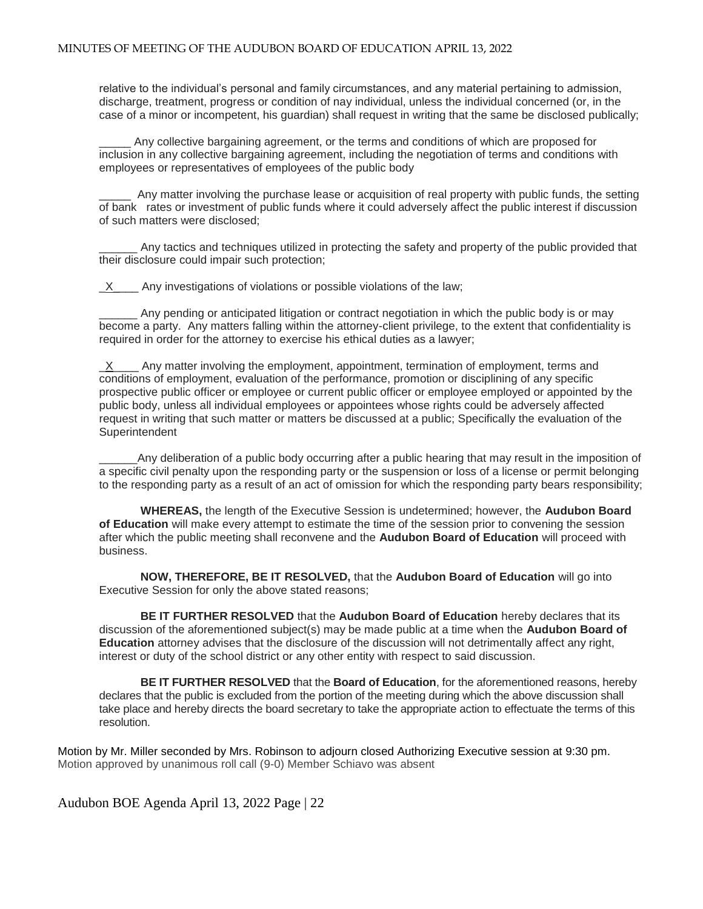relative to the individual's personal and family circumstances, and any material pertaining to admission, discharge, treatment, progress or condition of nay individual, unless the individual concerned (or, in the case of a minor or incompetent, his guardian) shall request in writing that the same be disclosed publically;

Any collective bargaining agreement, or the terms and conditions of which are proposed for inclusion in any collective bargaining agreement, including the negotiation of terms and conditions with employees or representatives of employees of the public body

\_\_\_\_\_ Any matter involving the purchase lease or acquisition of real property with public funds, the setting of bank rates or investment of public funds where it could adversely affect the public interest if discussion of such matters were disclosed;

Any tactics and techniques utilized in protecting the safety and property of the public provided that their disclosure could impair such protection;

 $X$  Any investigations of violations or possible violations of the law;

Any pending or anticipated litigation or contract negotiation in which the public body is or may become a party. Any matters falling within the attorney-client privilege, to the extent that confidentiality is required in order for the attorney to exercise his ethical duties as a lawyer;

 $X$  Any matter involving the employment, appointment, termination of employment, terms and conditions of employment, evaluation of the performance, promotion or disciplining of any specific prospective public officer or employee or current public officer or employee employed or appointed by the public body, unless all individual employees or appointees whose rights could be adversely affected request in writing that such matter or matters be discussed at a public; Specifically the evaluation of the **Superintendent** 

Any deliberation of a public body occurring after a public hearing that may result in the imposition of a specific civil penalty upon the responding party or the suspension or loss of a license or permit belonging to the responding party as a result of an act of omission for which the responding party bears responsibility;

**WHEREAS,** the length of the Executive Session is undetermined; however, the **Audubon Board of Education** will make every attempt to estimate the time of the session prior to convening the session after which the public meeting shall reconvene and the **Audubon Board of Education** will proceed with business.

**NOW, THEREFORE, BE IT RESOLVED,** that the **Audubon Board of Education** will go into Executive Session for only the above stated reasons;

**BE IT FURTHER RESOLVED** that the **Audubon Board of Education** hereby declares that its discussion of the aforementioned subject(s) may be made public at a time when the **Audubon Board of Education** attorney advises that the disclosure of the discussion will not detrimentally affect any right, interest or duty of the school district or any other entity with respect to said discussion.

**BE IT FURTHER RESOLVED** that the **Board of Education**, for the aforementioned reasons, hereby declares that the public is excluded from the portion of the meeting during which the above discussion shall take place and hereby directs the board secretary to take the appropriate action to effectuate the terms of this resolution.

Motion by Mr. Miller seconded by Mrs. Robinson to adjourn closed Authorizing Executive session at 9:30 pm. Motion approved by unanimous roll call (9-0) Member Schiavo was absent